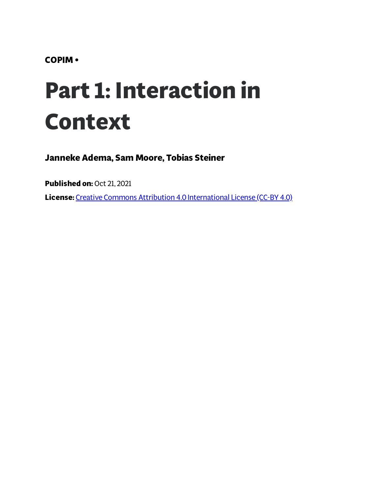**COPIM •**

# **Part 1: Interaction in Context**

**Janneke Adema, Sam Moore, Tobias Steiner**

**Published on:** Oct 21, 2021

**License:** Creative Commons Attribution 4.0 [International](https://creativecommons.org/licenses/by/4.0/) License (CC-BY 4.0)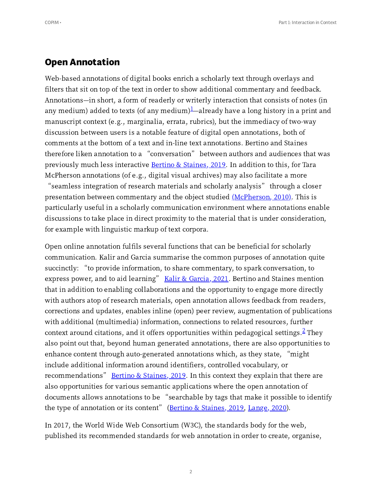### **Open Annotation**

<span id="page-1-0"></span>Web-based annotations of digital books enrich a scholarly text through overlays and filters that sit on top of the text in order to show additional commentary and feedback. Annotations—in short, a form of readerly or writerly interaction that consists of notes (in any medium) added to texts (of any medium) $\frac{1}{2}$  $\frac{1}{2}$  $\frac{1}{2}$ —already have a long history in a print and manuscript context (e.g., marginalia, errata, rubrics), but the immediacy of two-way discussion between users is a notable feature of digital open annotations, both of comments at the bottom of a text and in-line text annotations. Bertino and Staines therefore liken annotation to <sup>a</sup> "conversation" between authors and audiences that was previously much less interactive **Bertino & [Staines,](#page-39-0) 2019**. In addition to this, for Tara McPherson annotations (of e.g., digital visual archives) may also facilitate a more

<span id="page-1-2"></span>"seamless integration of research materials and scholarly analysis" through <sup>a</sup> closer presentation between commentary and the object studied (McPherson, 2010). This is particularly useful in a scholarly communication environment where annotations enable discussions to take place in direct proximity to the material that is under consideration, for example with linguistic markup of text corpora.

<span id="page-1-1"></span>Open online annotation fulfils several functions that can be beneficial for scholarly communication. Kalir and Garcia summarise the common purposes of annotation quite succinctly: "to provide information, to share commentary, to spark conversation, to succinctly: "to provide information, to share commentary, to spark conversation, to<br>express power, and to aid learning" <u>Kalir & Garcia, 2021</u>. Bertino and Staines mention that in addition to enabling collaborations and the opportunity to engage more directly with authors atop of research materials, open annotation allows feedback from readers, corrections and updates, enables inline (open) peer review, augmentation of publications with additional (multimedia) information, connections to related resources, further context around citations, and it offers opportunities within pedagogical settings.  $\frac{2}{3}$  $\frac{2}{3}$  $\frac{2}{3}$  They also point out that, beyond human generated annotations, there are also opportunities to enhance content through auto-generated annotations which, as they state, "might include additional information around identifiers, controlled vocabulary, or recommendations" Bertino & [Staines,](#page-39-0)  $2019$ . In this context they explain that there are also opportunities for various semantic applications where the open annotation of also opportunities for various semantic applications where the open annotation of<br>documents allows annotations to be "searchable by tags that make it possible to identify documents allows annotations to be "searchable by tags that make it possib<br>the type of annotation or its content" (<u>Bertino & [Staines,](#page-39-0) 2019, [Lange,](#page-39-1) 2020</u>).

<span id="page-1-3"></span>In 2017, the World Wide Web Consortium (W3C), the standards body for the web, published its recommended standards for web annotation in order to create, organise,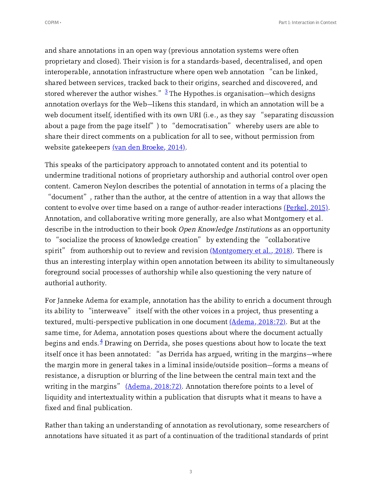<span id="page-2-0"></span>and share annotations in an open way (previous annotation systems were often proprietary and closed). Their vision is for a standards-based, decentralised, and open interoperable, annotation infrastructure where open web annotation "can be linked, shared between services, tracked back to their origins, searched and discovered, and stored wherever the author wishes."  $\frac{3}{3}$  $\frac{3}{3}$  $\frac{3}{3}$  The Hypothes. is organisation—which designs annotation overlays for the Web—likens this standard, in which an annotation will be a annotation overlays for the Web—likens this standard, in which an annotation will be a<br>web document itself, identified with its own URI (i.e., as they say "separating discussion web document itself, identified with its own URI (i.e., as they say "separating discus<br>about a page from the page itself") to "democratisation" whereby users are able to share their direct comments on a publication for all to see, without permission from website gatekeepers <u>(van den [Broeke,](#page-39-2) 2014)</u>.

<span id="page-2-3"></span><span id="page-2-2"></span>This speaks of the participatory approach to annotated content and its potential to undermine traditional notions of proprietary authorship and authorial control over open content. Cameron Neylon describes the potential of annotation in terms of a placing the "document", rather than the author, at the centre of attention in <sup>a</sup> way that allows the content to evolve over time based on a range of author-reader interactions  $(Perkel, 2015)$  $(Perkel, 2015)$ . Annotation, and collaborative writing more generally, are also what Montgomery et al. describe in the introduction to their book *Open Knowledge Institutions* as an opportunity<br>to "socialize the process of knowledge creation" by extending the "collaborative to "socialize the process of knowledge creation" by extending the "collaborative<br>spirit" from authorship out to review and revision <u>[\(Montgomery](#page-39-4) et al., 2018</u>). There is thus an interesting interplay within open annotation between its ability to simultaneously foreground social processes of authorship while also questioning the very nature of authorial authority.

<span id="page-2-5"></span><span id="page-2-4"></span><span id="page-2-1"></span>For Janneke Adema for example, annotation has the ability to enrich a document through its ability to "interweave" itself with the other voices in <sup>a</sup> project, thus presenting <sup>a</sup> textured, multi-perspective publication in one document  $(\underline{Adema}, 2018:72)$ . But at the same time, for Adema, annotation poses questions about where the document actually begins and ends.<sup>[4](#page-37-3)</sup> Drawing on Derrida, she poses questions about how to locate the text<br>itself once it has been annotated: "as Derrida has argued, writing in the margins—where the margin more in general takes in a liminal inside/outside position—forms a means of resistance, a disruption or blurring of the line between the central main text and the writing in the margins"  $(Adema, 2018:72)$  $(Adema, 2018:72)$ . Annotation therefore points to a level of liquidity and intertextuality within a publication that disrupts what it means to have a fixed and final publication.

Rather than taking an understanding of annotation as revolutionary, some researchers of annotations have situated it as part of a continuation of the traditional standards of print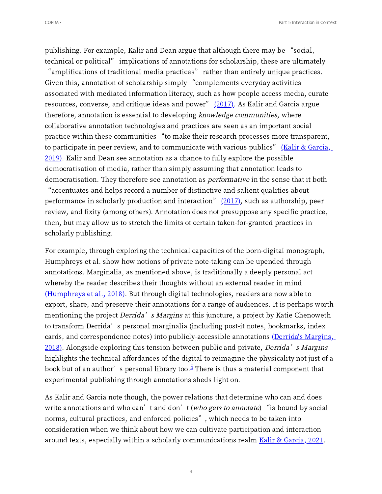publishing. For example, Kalir and Dean argue that although there may be "social, technical or political" implications of annotations for scholarship, these are ultimately technical or political" implications of annotations for scholarship, these are ultimately<br>"amplifications of traditional media practices" rather than entirely unique practices.

<span id="page-3-1"></span>"amplifications of traditional media practices" rather than entirely unique pra<br>Given this, annotation of scholarship simply "complements everyday activities associated with mediated information literacy, such as how people access media, curate<br>resources, converse, and critique ideas and power" <u>(2017)</u>. As Kalir and Garcia argue therefore, annotation is essential to developing knowledge communities, where collaborative annotation technologies and practices are seen as an important social collaborative annotation technologies and practices are seen as an important social<br>practice within these communities "to make their research processes more transparent, practice within these communities "to make their research processes more transparent,<br>to participate in peer review, and to [communicate](#page-40-0) with various publics" <u>(Kalir & Garcia,</u> 2019). Kalir and Dean see annotation as a chance to fully explore the possible democratisation of media, rather than simply assuming that annotation leads to democratisation. They therefore see annotation as *performative* in the sense that it both<br>"accentuates and helps record a number of distinctive and salient qualities about "accentuates and helps record a number of distinctive and salient qualities about<br>performance in scholarly production and interaction"  $(2017)$ , such as authorship, peer

<span id="page-3-2"></span>review, and fixity (among others). Annotation does not presuppose any specific practice, then, but may allow us to stretch the limits of certain taken-for-granted practices in scholarly publishing.

<span id="page-3-3"></span>For example, through exploring the technical capacities of the born-digital monograph, Humphreys et al. show how notions of private note-taking can be upended through annotations. Marginalia, as mentioned above, is traditionally a deeply personal act whereby the reader describes their thoughts without an external reader in mind  $(Humphreys et al., 2018)$  $(Humphreys et al., 2018)$ . But through digital technologies, readers are now able to export, share, and preserve their annotations for a range of audiences. It is perhaps worth mentioning the project *Derrida's Margins* at this juncture, a project by Katie Chenoweth<br>to transform Derrida's personal marginalia (including post-it notes, bookmarks, index cards, and correspondence notes) into [publicly-accessible](#page-40-2) annotations (Derrida's Margins,  $2018$ ). Alongside exploring this tension between public and private, *Derrida's Margins* highlights the technical affordances of the digital to reimagine the physicality not just of a highlights the technical affordances of the digital to reimagine the physicality not just <mark>c</mark><br>book but of an author's personal library too.<sup>[5](#page-37-4)</sup> There is thus a material component that experimental publishing through annotations sheds light on.

<span id="page-3-4"></span><span id="page-3-0"></span>As Kalir and Garcia note though, the power relations that determine who can and does As Kalir and Garcia note though, the power relations that determine who can and does<br>write annotations and who can't and don't (*who gets to annotate*) "is bound by social write annotations and who can't and don't (*who gets to annotate*) "is bound <mark>h</mark><br>norms, cultural practices, and enforced policies", which needs to be taken into consideration when we think about how we can cultivate participation and interaction around texts, especially within a scholarly communications realm Kalir & Garcia, 2021.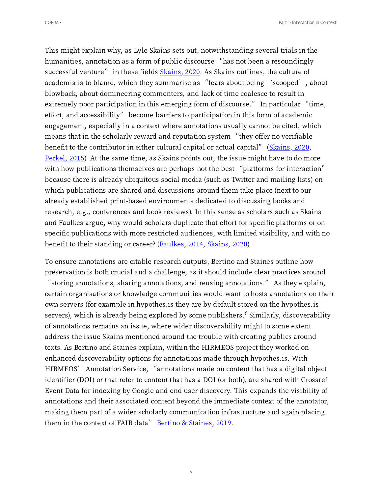<span id="page-4-1"></span>This might explain why, as Lyle Skains sets out, notwithstanding several trials in the humanities, annotation as <sup>a</sup> form of public discourse "has not been <sup>a</sup> resoundingly humanities, annotation as a form of public discourse "has not been a resoundingl<sub>.</sub><br>successful venture" in these fields <u>[Skains,](#page-40-3) 2020</u>. As Skains outlines, the culture of successful venture" in these fields <u>Skains, 2020</u>. As Skains outlines, the culture of<br>academia is to blame, which they summarise as "fears about being 'scooped', about blowback, about domineering commenters, and lack of time coalesce to result in blowback, about domineering commenters, and lack of time coalesce to result in<br>extremely poor participation in this emerging form of discourse." In particular "time, extremely poor participation in this emerging form of discourse." In particular "ti<br>effort, and accessibility" become barriers to participation in this form of academic engagement, especially in a context where annotations usually cannot be cited, which means that in the scholarly reward and reputation system "they offer no verifiable means that in the scholarly reward and reputation system "they offer no verifiable<br>benefit to the contributor in either cultural capital or actual capital" ([Skains,](#page-40-3) 2020, <mark>Perkel, 2015</mark>). At the same time, as Skains points out, the issue might have to do more<br>with how publications themselves are perhaps not the best "platforms for interaction" because there is already ubiquitous social media (such as Twitter and mailing lists) on which publications are shared and discussions around them take place (next to our already established print-based environments dedicated to discussing books and research, e.g., conferences and book reviews). In this sense as scholars such as Skains and Faulkes argue, why would scholars duplicate that effort for specific platforms or on specific publications with more restricted audiences, with limited visibility, and with no benefit to their standing or career? (Faulkes, 2014, [Skains,](#page-40-3) 2020)

<span id="page-4-0"></span>To ensure annotations are citable research outputs, Bertino and Staines outline how preservation is both crucial and a challenge, as it should include clear practices around "storing annotations, sharing annotations, and reusing annotations." As they explain, certain organisations or knowledge communities would want to hosts annotations on their own servers (for example in hypothes.is they are by default stored on the hypothes.is servers), which is already being explored by some publishers.<sup>[6](#page-37-5)</sup> Similarly, discoverability of annotations remains an issue, where wider discoverability might to some extent address the issue Skains mentioned around the trouble with creating publics around texts. As Bertino and Staines explain, within the HIRMEOS project they worked on enhanced discoverability options for annotations made through hypothes.is. With HIRMEOS' Annotation Service, "annotations made on content that has <sup>a</sup> digital object identifier (DOI) or that refer to content that has a DOI (or both), are shared with Crossref Event Data for indexing by Google and end user discovery. This expands the visibility of annotations and their associated content beyond the immediate context of the annotator, making them part of a wider scholarly communication infrastructure and again placing<br>them in the context of FAIR data" <u>Bertino & [Staines,](#page-39-0) 2019</u>.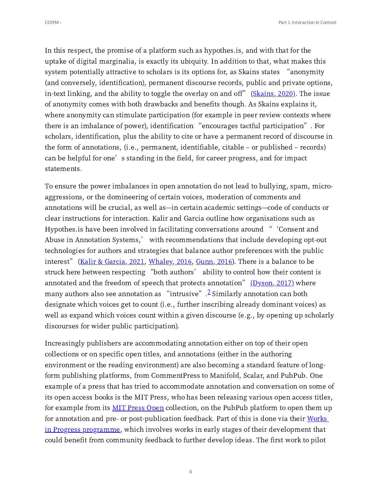<span id="page-5-1"></span>In this respect, the promise of a platform such as hypothes.is, and with that for the uptake of digital marginalia, is exactly its ubiquity. In addition to that, what makes this system potentially attractive to scholars is its options for, as Skains states "anonymity (and conversely, identification), permanent discourse records, public and private options,<br>in-text linking, and the ability to toggle the overlay on and off" <u>[\(Skains,](#page-40-4) 2020)</u>. The issue of anonymity comes with both drawbacks and benefits though. As Skains explains it, where anonymity can stimulate participation (for example in peer review contexts where there is an imbalance of power), identification "encourages tactful participation". For scholars, identification, plus the ability to cite or have a permanent record of discourse in the form of annotations, (i.e., permanent, identifiable, citable – or published – records)<br>can be helpful for one's standing in the field, for career progress, and for impact statements.

<span id="page-5-3"></span><span id="page-5-2"></span>To ensure the power imbalances in open annotation do not lead to bullying, spam, microaggressions, or the domineering of certain voices, moderation of comments and annotations will be crucial, as well as—in certain academic settings—code of conducts or clear instructions for interaction. Kalir and Garcia outline how organisations such as Hypothes.is have been involved in facilitating conversations around "'Consent and Abuse in Annotation Systems,' with recommendations that include developing opt-out technologies for authors and strategies that balance author preferences with the public<br>interest" (Kalir & Garcia, 2021, Whaley, 2016, [Gunn,](#page-40-6) 2016). There is a balance to be interest["](#page-40-5) (<u>Kalir & Garcia, 2021, Whaley, 2016, Gunn, 2016</u>). There is a balance to be<br>struck here between respecting "both authors' ability to control how their content is struck here between respecting "both authors' ability to control how their content i<br>annotated and the freedom of speech that protects annotation" <u>[\(Dyson,](#page-40-7) 2017)</u> where annotated and the freedom of speech that protects annotation"  $(Dyson, 2017)$  where The Similarly annotation as "intrusive". <sup>[7](#page-37-6)</sup> Similarly annotation can both designate which voices get to count (i.e., further inscribing already dominant voices) as well as expand which voices count within a given discourse (e.g., by opening up scholarly discourses for wider public participation).

<span id="page-5-4"></span><span id="page-5-0"></span>Increasingly publishers are accommodating annotation either on top of their open collections or on specific open titles, and annotations (either in the authoring environment or the reading environment) are also becoming a standard feature of longform publishing platforms, from CommentPress to Manifold, Scalar, and PubPub. One example of a press that has tried to accommodate annotation and conversation on some of its open access books is the MIT Press, who has been releasing various open access titles, for example from its MIT Press [Open](https://mitpressonpubpub.mitpress.mit.edu/) collection, on the PubPub platform to open them up for annotation and pre- or [post-publication](https://collab.copim.ac.uk/6.2.0-123/web-apps/apps/documenteditor/main/MITP%20Works%20in%20Progress%C2%A0(WiP)%C2%A0are%20written%20works%20in%20early%20stages%20of%20development%20that%20would%20benefit%20from%20an%20open%20peer%20review%20process) feedback. Part of this is done via their Works in Progress programme, which involves works in early stages of their development that could benefit from community feedback to further develop ideas. The first work to pilot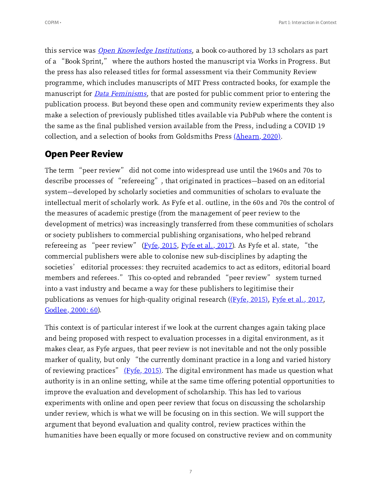this service was *Open [Knowledge](https://wip.mitpress.mit.edu/oki) Institutions*, a book co-authored by 13 scholars as part of <sup>a</sup> "Book Sprint," where the authors hosted the manuscript via Works in Progress. But the press has also released titles for formal assessment via their Community Review programme, which includes manuscripts of MIT Press contracted books, for example the manuscript for *Data [Feminisms](https://mitpressonpubpub.mitpress.mit.edu/data-feminism)*, that are posted for public comment prior to entering the publication process. But beyond these open and community review experiments they also make a selection of previously published titles available via PubPub where the content is the same as the final published version available from the Press, including a COVID collection, and a selection of books from Goldsmiths Press  $(Ahearn, 2020)$  $(Ahearn, 2020)$ .

## <span id="page-6-0"></span>**Open Peer Review**

**Upen Feer Review**<br>The term "peer review" did not come into widespread use until the 1960s and 70s to The term "peer review" did not come into widespread use until the 1960s and 70s to<br>describe processes of "refereeing", that originated in practices—based on an editorial system—developed by scholarly societies and communities of scholars to evaluate the intellectual merit of scholarly work. As Fyfe et al. outline, in the 60s and 70s the control of the measures of academic prestige (from the management of peer review to the development of metrics) was increasingly transferred from these communities of scholars or society publishers to commercial publishing organisations, who helped rebrand refereeing as "peer review" ( $\underline{Fyfe}$ , 2015,  $\underline{Fyfe}$  et al., 2017). As Fyfe et al. state, "the commercial publishers were able to colonise new sub-disciplines by adapting the commercial publishers were able to colonise new sub-disciplines by adapting the<br>societies' editorial processes: they recruited academics to act as editors, editorial board societies' editorial processes: they recruited academics to act as editors, editorial boa<br>members and referees." This co-opted and rebranded "peer review" system turned into a vast industry and became a way for these publishers to legitimise their publications as venues for high-quality original research ( $(Fyfe, 2015)$ , Fyfe et al., 2017, [Godlee,](#page-41-0) 2000: 60).

<span id="page-6-2"></span><span id="page-6-1"></span>This context is of particular interest if we look at the current changes again taking place and being proposed with respect to evaluation processes in a digital environment, as it makes clear, as Fyfe argues, that peer review is not inevitable and not the only possible marker of quality, but only "the currently dominant practice in <sup>a</sup> long and varied history marker of quality, but only "the currently dominant practice in a long and varied history<br>of reviewing practices" <u>(Fyfe, 2015)</u>. The digital environment has made us question what authority is in an online setting, while at the same time offering potential opportunities to improve the evaluation and development of scholarship. This has led to various experiments with online and open peer review that focus on discussing the scholarship under review, which is what we will be focusing on in this section. We will support the argument that beyond evaluation and quality control, review practices within the humanities have been equally or more focused on constructive review and on community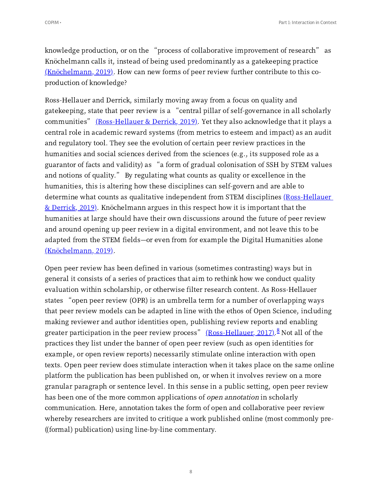<span id="page-7-1"></span>knowledge production, or on the "process of collaborative improvement of research" as Knöchelmann calls it, instead of being used predominantly as a gatekeeping practice  $(Knöchelmann, 2019)$  $(Knöchelmann, 2019)$ . How can new forms of peer review further contribute to this coproduction of knowledge?

<span id="page-7-2"></span>Ross-Hellauer and Derrick, similarly moving away from a focus on quality and Ross-Hellauer and Derrick, similarly moving away from a focus on quality and<br>gatekeeping, state that peer review is a "central pillar of self-governance in all scholarly gatekeeping, state that peer review is a "central pillar of self-governance in all scholarly<br>communities" <u>[\(Ross-Hellauer](#page-41-2) & Derrick, 2019)</u>. Yet they also acknowledge that it plays a central role in academic reward systems (from metrics to esteem and impact) as an audit and regulatory tool. They see the evolution of certain peer review practices in the humanities and social sciences derived from the sciences (e.g., its supposed role as a humanities and social sciences derived from the sciences (e.g., its supposed role as a<br>guarantor of facts and validity) as "a form of gradual colonisation of SSH by STEM values guarantor of facts and validity) as "a form of gradual colonisation of SSH by STEN<br>and notions of quality." By regulating what counts as quality or excellence in the humanities, this is altering how these disciplines can self-govern and are able to determine what counts as qualitative independent from STEM disciplines [\(Ross-Hellauer](#page-41-2)  $&$  Derrick, 2019). Knöchelmann argues in this respect how it is important that the humanities at large should have their own discussions around the future of peer review and around opening up peer review in a digital environment, and not leave this to be adapted from the STEM fields—or even from for example the Digital Humanities alone [\(Knöchelmann,](#page-41-1) 2019).

<span id="page-7-3"></span><span id="page-7-0"></span>Open peer review has been defined in various (sometimes contrasting) ways but in general it consists of a series of practices that aim to rethink how we conduct quality evaluation within scholarship, or otherwise filter research content. As Ross-Hellauer states "open peer review (OPR) is an umbrella term for <sup>a</sup> number of overlapping ways that peer review models can be adapted in line with the ethos of Open Science, including making reviewer and author identities open, publishing review reports and enabling making reviewer and author identities open, publishing review reports and enabling<br>greater participation in the peer review process" <u>[\(Ross-Hellauer,](#page-41-3) 2017).<sup>[8](#page-37-7)</sup> Not all</u> of the practices they list under the banner of open peer review (such as open identities for example, or open review reports) necessarily stimulate online interaction with open texts. Open peer review does stimulate interaction when it takes place on the same online platform the publication has been published on, or when it involves review on a more granular paragraph or sentence level. In this sense in a public setting, open peer review has been one of the more common applications of *open annotation* in scholarly communication. Here, annotation takes the form of open and collaborative peer review whereby researchers are invited to critique a work published online (most commonly pre- ((formal) publication) using line-by-line commentary.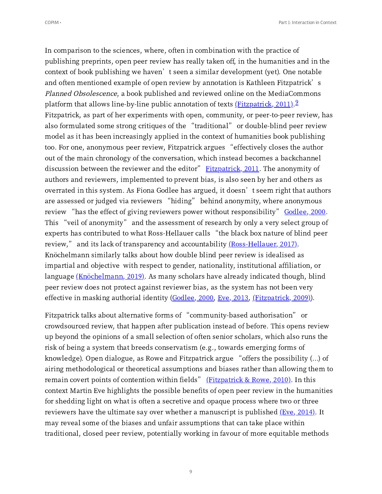<span id="page-8-2"></span><span id="page-8-1"></span><span id="page-8-0"></span>In comparison to the sciences, where, often in combination with the practice of publishing preprints, open peer review has really taken off, in the humanities and in the context of book publishing we haven't seen <sup>a</sup> similar development (yet). One notable context of book publishing we haven't seen a similar development (yet). One notable and often mentioned example of open review by annotation is Kathleen Fitzpatrick's Planned Obsolescence, a book published and reviewed online on the MediaCommons platform that allows line-by-line public annotation of texts ( $\frac{Fitzpatrick, 2011}{.}$ <sup>2</sup> Fitzpatrick, as part of her experiments with open, community, or peer-to-peer review, has also formulated some strong critiques of the "traditional" or double-blind peer review model as it has been increasingly applied in the context of humanities book publishing too. For one, anonymous peer review, Fitzpatrick argues "effectively closes the author out of the main chronology of the conversation, which instead becomes a backchannel<br>discussion between the reviewer and the editor" <u>[Fitzpatrick,](#page-41-5) 2011</u>. The anonymity of authors and reviewers, implemented to prevent bias, is also seen by her and others as authors and reviewers, implemented to prevent bias, is also seen by her and others as<br>overrated in this system. As Fiona Godlee has argued, it doesn't seem right that authors overrated in this system. As Fiona Godlee has argued, it doesn't seem right that auth<br>are assessed or judged via reviewers "hiding" behind anonymity, where anonymous are assessed or judged via reviewers "hiding" behind anonymity, where anonymous review "has the effect of giving reviewers power without responsibility" <u>Godlee, 2000</u>.<br>This "veil of anonymity" and the assessment of research by only a very select group of This "veil of anonymity" and the assessment of research by only a very select group of<br>experts has contributed to what Ross-Hellauer calls "the black box nature of blind peer experts has contributed to what Ross-Hellauer calls "the black box nature of bl<br>review," and its lack of transparency and accountability <u>[\(Ross-Hellauer,](#page-41-3) 2017)</u>. Knöchelmann similarly talks about how double blind peer review is idealised as impartial and objective with respect to gender, nationality, institutional affiliation, or language  $(Knöchelmann, 2019)$  $(Knöchelmann, 2019)$ . As many scholars have already indicated though, blind peer review does not protect against reviewer bias, as the system has not been very effective in masking authorial identity [\(Godlee,](#page-41-6) 2000, Eve, 2013, (Fitzpatrick, 2009)).

<span id="page-8-6"></span><span id="page-8-5"></span><span id="page-8-4"></span><span id="page-8-3"></span>Fitzpatrick talks about alternative forms of "community-based authorisation" or crowdsourced review, that happen after publication instead of before. This opens review up beyond the opinions of a small selection of often senior scholars, which also runs the risk of being a system that breeds conservatism (e.g., towards emerging forms of knowledge). Open dialogue, as Rowe and Fitzpatrick argue "offers the possibility  $(...)$  of airing methodological or theoretical assumptions and biases rather than allowing them to<br>remain covert points of contention within fields" <u>[\(Fitzpatrick](#page-42-0) & Rowe, 2010)</u>. In this context Martin Eve highlights the possible benefits of open peer review in the humanities for shedding light on what is often a secretive and opaque process where two or three reviewers have the ultimate say over whether a manuscript is published  $(Eve, 2014)$ . It may reveal some of the biases and unfair assumptions that can take place within traditional, closed peer review, potentially working in favour of more equitable methods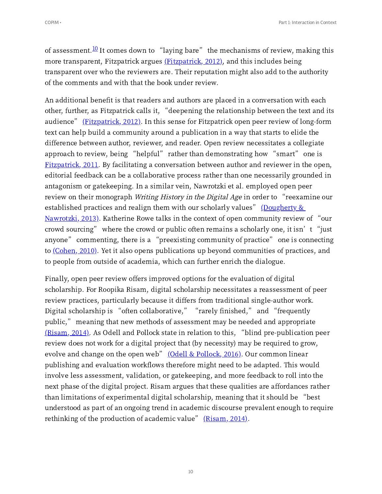<span id="page-9-1"></span><span id="page-9-0"></span>of assessment.<sup>[10](#page-38-1)</sup> It comes down to "laying bare" the mechanisms of review, making this more transparent, Fitzpatrick argues [\(Fitzpatrick,](#page-42-2) 2012), and this includes being transparent over who the reviewers are. Their reputation might also add to the authority of the comments and with that the book under review.

An additional benefit is that readers and authors are placed in a conversation with each other, further, as Fitzpatrick calls it, "deepening the relationship between the text and its other, further, as Fitzpatrick calls it, "deepening the relationship between the text and its audience" [\(Fitzpatrick,](#page-42-2) 2012). In this sense for Fitzpatrick open peer review of long-form text can help build a community around a publication in a way that starts to elide the difference between author, reviewer, and reader. Open review necessitates a collegiate approach to review, being "helpful" rather than demonstrating how "smart" one is  $Fitz$  patrick, 2011. By facilitating a conversation between author and reviewer in the open, editorial feedback can be a collaborative process rather than one necessarily grounded in antagonism or gatekeeping. In a similar vein, Nawrotzki et al. employed open peer antagonism or gatekeeping. In a similar vein, Nawrotzki et al. employed open peer<br>review on their monograph *Writing History in the Digital Age* in order to "reexamine our review on their monograph *Writing History in the Digital Age* in order to "reexar<br>[established](#page-42-3) practices and realign them with our scholarly values" <u>(Dougherty &</u> established practices and realign them with our scholarly values" <u>(Dougherty &</u><br>Nawrotzki, 2013). Katherine Rowe talks in the context of open community review of "our <u>Nawrotzki, 2013)</u>. Katherine Rowe talks in the context of open community review of "our<br>crowd sourcing" where the crowd or public often remains a scholarly one, it isn't "just crowd sourcing" where the crowd or public often remains a scholarly one, it isn't "just anyone" commenting, there is a "preexisting community of practice" one is connecting to  $(Cohen, 2010)$  $(Cohen, 2010)$ . Yet it also opens publications up beyond communities of practices, and to people from outside of academia, which can further enrich the dialogue.

<span id="page-9-6"></span><span id="page-9-5"></span><span id="page-9-4"></span><span id="page-9-3"></span><span id="page-9-2"></span>Finally, open peer review offers improved options for the evaluation of digital scholarship. For Roopika Risam, digital scholarship necessitates a reassessment of peer review practices, particularly because it differs from traditional single-author work. review practices, particularly because it differs from traditional single-author work<br>Digital scholarship is "often collaborative," "rarely finished," and "frequently Digital scholarship is "often collaborative," "rarely finished," and "frequently<br>public," meaning that new methods of assessment may be needed and appropriate public," meaning that new methods of assessment may be needed and appropriate<br>[\(Risam,](#page-42-5) 2014). As Odell and Pollock state in relation to this, "blind pre-publication peer review does not work for a digital project that (by necessity) may be required to grow,<br>evolve and change on the open web" <u>(Odell & [Pollock,](#page-42-6) 2016)</u>. Our common linear publishing and evaluation workflows therefore might need to be adapted. This would involve less assessment, validation, or gatekeeping, and more feedback to roll into the next phase of the digital project. Risam argues that these qualities are affordances rather than limitations of experimental digital scholarship, meaning that it should be "best understood as part of an ongoing trend in academic discourse prevalent enough to require<br>rethinking of the production of academic value" <u>[\(Risam,](#page-42-7) 2014)</u>.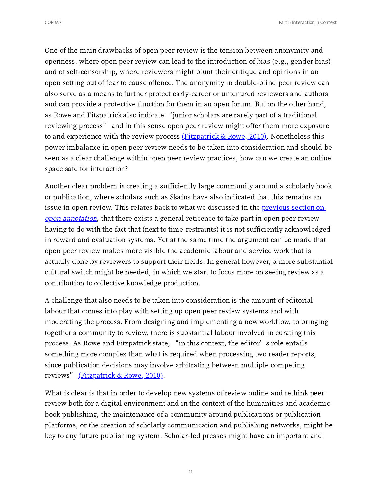One of the main drawbacks of open peer review is the tension between anonymity and openness, where open peer review can lead to the introduction of bias (e.g., gender bias) and of self-censorship, where reviewers might blunt their critique and opinions in an open setting out of fear to cause offence. The anonymity in double-blind peer review can also serve as a means to further protect early-career or untenured reviewers and authors and can provide a protective function for them in an open forum. But on the other hand, and can provide a protective function for them in an open forum. But on the other ha<mark>r</mark><br>as Rowe and Fitzpatrick also indicate "junior scholars are rarely part of a traditional as Rowe and Fitzpatrick also indicate "junior scholars are rarely part of a traditional<br>reviewing process" and in this sense open peer review might offer them more exposure to and experience with the review process  $(Fitz$ <sub>patrick & Rowe, 2010</sub>). Nonetheless this power imbalance in open peer review needs to be taken into consideration and should be seen as a clear challenge within open peer review practices, how can we create an online space safe for interaction?

Another clear problem is creating a sufficiently large community around a scholarly book or publication, where scholars such as Skains have also indicated that this remains an issue in open review. This relates back to what we discussed in the <u>[previous](https://copim.pubpub.org/pub/interactions-with-open-access-books-part-1-interaction-in-context/#open-annotation) section on</u> open [annotation](https://copim.pubpub.org/pub/interactions-with-open-access-books-part-1-interaction-in-context/#open-annotation), that there exists a general reticence to take part in open peer review having to do with the fact that (next to time-restraints) it is not sufficiently acknowledged in reward and evaluation systems. Yet at the same time the argument can be made that open peer review makes more visible the academic labour and service work that is actually done by reviewers to support their fields. In general however, a more substantial cultural switch might be needed, in which we start to focus more on seeing review as a contribution to collective knowledge production.

A challenge that also needs to be taken into consideration is the amount of editorial labour that comes into play with setting up open peer review systems and with moderating the process. From designing and implementing a new workflow, to bringing together a community to review, there is substantial labour involved in curating this process. As Rowe and Fitzpatrick state, "in this context, the editor's role entails something more complex than what is required when processing two reader reports, since publication decisions may involve arbitrating between multiple competing<br>reviews" <u>[\(Fitzpatrick](#page-42-0) & Rowe, 2010)</u>.

What is clear is that in order to develop new systems of review online and rethink peer review both for a digital environment and in the context of the humanities and academic book publishing, the maintenance of a community around publications or publication platforms, or the creation of scholarly communication and publishing networks, might be key to any future publishing system. Scholar-led presses might have an important and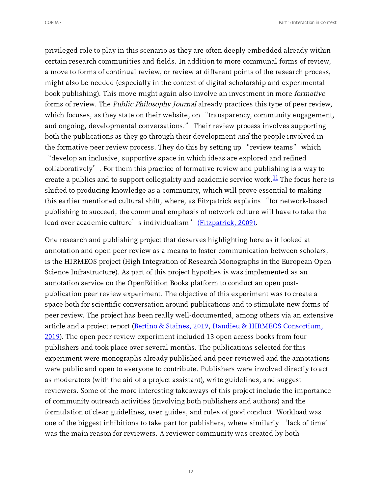privileged role to play in this scenario as they are often deeply embedded already within certain research communities and fields. In addition to more communal forms of review, a move to forms of continual review, or review at different points of the research process, might also be needed (especially in the context of digital scholarship and experimental book publishing). This move might again also involve an investment in more formative forms of review. The *Public Philosophy Journal* already practices this type of peer review,<br>which focuses, as they state on their website, on "transparency, community engagement, which focuses, as they state on their website, on "transparency, community engagement, and ongoing, developmental conversations." Their review process involves supporting both the publications as they go through their development *and* the people involved in<br>the formative peer review process. They do this by setting up "review teams" which the formative peer review process. They do this by setting up "review teams" which<br>"develop an inclusive, supportive space in which ideas are explored and refined

<span id="page-11-0"></span>collaboratively". For them this practice of formative review and publishing is <sup>a</sup> way to create a publics and to support collegiality and academic service work. $^{11}$  $^{11}$  $^{11}$  The focus here is shifted to producing knowledge as a community, which will prove essential to making this earlier mentioned cultural shift, where, as Fitzpatrick explains "for network-based publishing to succeed, the communal emphasis of network culture will have to take the lead over academic culture's individualism" (Fitzpatrick, 2009).

One research and publishing project that deserves highlighting here as it looked at annotation and open peer review as a means to foster communication between scholars, is the HIRMEOS project (High Integration of Research Monographs in the European Open Science Infrastructure). As part of this project hypothes.is was implemented as an annotation service on the OpenEdition Books platform to conduct an open postpublication peer review experiment. The objective of this experiment was to create a space both for scientific conversation around publications and to stimulate new forms of peer review. The project has been really well-documented, among others via an extensive article and a project report (Bertino & [Staines,](#page-39-0) 2019, Dandieu & HIRMEOS Consortium,  $2019$ ). The open peer review experiment included 13 open access books from four publishers and took place over several months. The publications selected for this experiment were monographs already published and peer-reviewed and the annotations were public and open to everyone to contribute. Publishers were involved directly to act as moderators (with the aid of a project assistant), write guidelines, and suggest reviewers. Some of the more interesting takeaways of this project include the importance of community outreach activities (involving both publishers and authors) and the formulation of clear guidelines, user guides, and rules of good conduct. Workload was one of the biggest inhibitions to take part for publishers, where similarly 'lack of time' was the main reason for reviewers. A reviewer community was created by both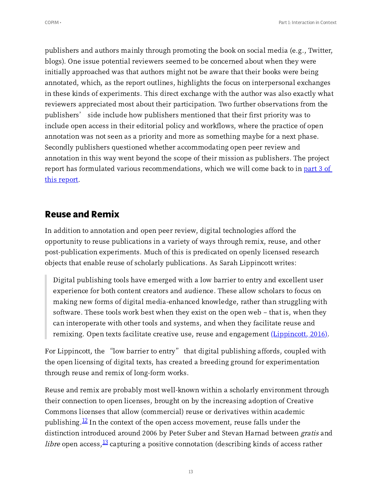publishers and authors mainly through promoting the book on social media (e.g., Twitter, blogs). One issue potential reviewers seemed to be concerned about when they were initially approached was that authors might not be aware that their books were being annotated, which, as the report outlines, highlights the focus on interpersonal exchanges in these kinds of experiments. This direct exchange with the author was also exactly what reviewers appreciated most about their participation. Two further observations from the publishers' side include how publishers mentioned that their first priority was to include open access in their editorial policy and workflows, where the practice of open annotation was not seen as a priority and more as something maybe for a next phase. Secondly publishers questioned whether accommodating open peer review and annotation in this way went beyond the scope of their mission as publishers. The project report has formulated various [recommendations,](https://copim.pubpub.org/pub/interactions-with-open-access-books-part-3-recommendations-guidelines-best-practices) which we will come back to in <u>part 3 of</u> this report.

## **Reuse and Remix**

In addition to annotation and open peer review, digital technologies afford the opportunity to reuse publications in a variety of ways through remix, reuse, and other post-publication experiments. Much of this is predicated on openly licensed research objects that enable reuse of scholarly publications. As Sarah Lippincott writes:

<span id="page-12-2"></span>Digital publishing tools have emerged with a low barrier to entry and excellent user experience for both content creators and audience. These allow scholars to focus on making new forms of digital media-enhanced knowledge, rather than struggling with software. These tools work best when they exist on the open web – that is, when they can interoperate with other tools and systems, and when they facilitate reuse and remixing. Open texts facilitate creative use, reuse and engagement  $(\underline{Lippincott}, 2016)$ .

For Lippincott, the "low barrier to entry" that digital publishing affords, coupled with the open licensing of digital texts, has created a breeding ground for experimentation through reuse and remix of long-form works.

<span id="page-12-1"></span><span id="page-12-0"></span>Reuse and remix are probably most well-known within a scholarly environment through their connection to open licenses, brought on by the increasing adoption of Creative Commons licenses that allow (commercial) reuse or derivatives within academic publishing. $\frac{12}{2}$  $\frac{12}{2}$  $\frac{12}{2}$  In the context of the open access movement, reuse falls under the distinction introduced around 2006 by Peter Suber and Stevan Harnad between gratis and *libre* open access,  $\frac{13}{12}$  $\frac{13}{12}$  $\frac{13}{12}$  capturing a positive connotation (describing kinds of access rather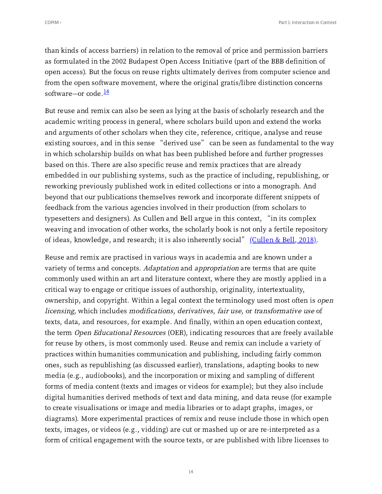than kinds of access barriers) in relation to the removal of price and permission barriers as formulated in the 2002 Budapest Open Access Initiative (part of the BBB definition of open access). But the focus on reuse rights ultimately derives from computer science and from the open software movement, where the original gratis/libre distinction concerns software—or code.<sup>[14](#page-39-7)</sup>

<span id="page-13-0"></span>But reuse and remix can also be seen as lying at the basis of scholarly research and the academic writing process in general, where scholars build upon and extend the works and arguments of other scholars when they cite, reference, critique, analyse and reuse existing sources, and in this sense "derived use" can be seen as fundamental to the way in which scholarship builds on what has been published before and further progresses based on this. There are also specific reuse and remix practices that are already embedded in our publishing systems, such as the practice of including, republishing, or reworking previously published work in edited collections or into a monograph. And beyond that our publications themselves rework and incorporate different snippets of feedback from the various agencies involved in their production (from scholars to typesetters and designers). As Cullen and Bell argue in this context, "in its complex weaving and invocation of other works, the scholarly book is not only a fertile repository<br>of ideas, knowledge, and research; it is also inherently social" <u>[\(Cullen](#page-42-9) & Bell, 2018)</u>.

<span id="page-13-1"></span>Reuse and remix are practised in various ways in academia and are known under a variety of terms and concepts. Adaptation and appropriation are terms that are quite commonly used within an art and literature context, where they are mostly applied in a critical way to engage or critique issues of authorship, originality, intertextuality, ownership, and copyright. Within a legal context the terminology used most often is *open* licensing, which includes modifications, derivatives, fair use, or transformative use of texts, data, and resources, for example. And finally, within an open education context, the term Open Educational Resources (OER), indicating resources that are freely available for reuse by others, is most commonly used. Reuse and remix can include a variety of practices within humanities communication and publishing, including fairly common ones, such as republishing (as discussed earlier), translations, adapting books to new media (e.g., audiobooks), and the incorporation or mixing and sampling of different forms of media content (texts and images or videos for example); but they also include digital humanities derived methods of text and data mining, and data reuse (for example to create visualisations or image and media libraries or to adapt graphs, images, or diagrams). More experimental practices of remix and reuse include those in which open texts, images, or videos (e.g., vidding) are cut or mashed up or are re-interpreted as a form of critical engagement with the source texts, or are published with libre licenses to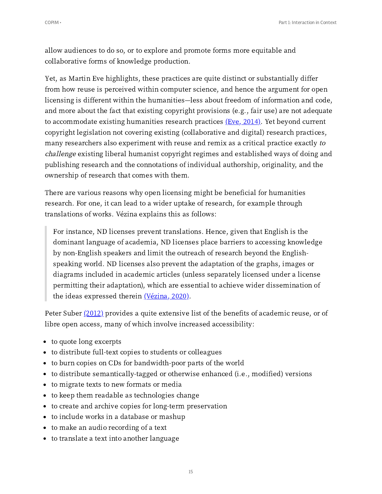allow audiences to do so, or to explore and promote forms more equitable and collaborative forms of knowledge production.

Yet, as Martin Eve highlights, these practices are quite distinct or substantially differ from how reuse is perceived within computer science, and hence the argument for open licensing is different within the humanities—less about freedom of information and code, and more about the fact that existing copyright provisions (e.g., fair use) are not adequate to accommodate existing humanities research practices  $(Eve, 2014)$ . Yet beyond current copyright legislation not covering existing (collaborative and digital) research practices, many researchers also experiment with reuse and remix as a critical practice exactly to challenge existing liberal humanist copyright regimes and established ways of doing and publishing research and the connotations of individual authorship, originality, and the ownership of research that comes with them.

There are various reasons why open licensing might be beneficial for humanities research. For one, it can lead to a wider uptake of research, for example through translations of works. Vézina explains this as follows:

For instance, ND licenses prevent translations. Hence, given that English is the dominant language of academia, ND licenses place barriers to accessing knowledge by non-English speakers and limit the outreach of research beyond the Englishspeaking world. ND licenses also prevent the adaptation of the graphs, images or diagrams included in academic articles (unless separately licensed under a license permitting their adaptation), which are essential to achieve wider dissemination of the ideas expressed therein  $(Vézina, 2020)$  $(Vézina, 2020)$ .

<span id="page-14-1"></span><span id="page-14-0"></span>Peter Suber [\(2012\)](#page-43-0) provides a quite extensive list of the benefits of academic reuse, or of libre open access, many of which involve increased accessibility:

- to quote long excerpts
- to distribute full-text copies to students or colleagues
- to burn copies on CDs for bandwidth-poor parts of the world
- to distribute semantically-tagged or otherwise enhanced (i.e., modified) versions
- to migrate texts to new formats or media
- to keep them readable as technologies change
- to create and archive copies for long-term preservation
- to include works in a database or mashup
- to make an audio recording of a text
- to translate a text into another language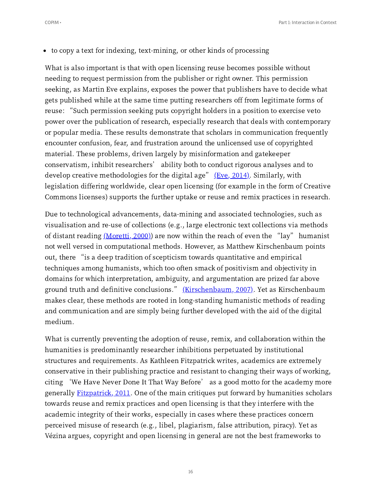to copy a text for indexing, text-mining, or other kinds of processing

What is also important is that with open licensing reuse becomes possible without needing to request permission from the publisher or right owner. This permission seeking, as Martin Eve explains, exposes the power that publishers have to decide what gets published while at the same time putting researchers off from legitimate forms of reuse: "Such permission seeking puts copyright holders in <sup>a</sup> position to exercise veto power over the publication of research, especially research that deals with contemporary or popular media. These results demonstrate that scholars in communication frequently encounter confusion, fear, and frustration around the unlicensed use of copyrighted material. These problems, driven largely by misinformation and gatekeeper material. These problems, driven largely by misinformation and gatekeeper<br>conservatism, inhibit researchers' ability both to conduct rigorous analyses and to conservatism, inhibit researchers' ability both to conduct rigorous analyses and<br>develop creative methodologies for the digital age" <u>(Eve, 2014[\)](#page-42-1)</u>. Similarly, with legislation differing worldwide, clear open licensing (for example in the form of Creative Commons licenses) supports the further uptake or reuse and remix practices in research.

<span id="page-15-0"></span>Due to technological advancements, data-mining and associated technologies, such as visualisation and re-use of collections (e.g., large electronic text collections via methods<br>of distant reading <u>[\(Moretti,](#page-43-1) 2000)</u>) are now within the reach of even the "lay" humanist not well versed in computational methods. However, as Matthew Kirschenbaum points out, there "is <sup>a</sup> deep tradition of scepticism towards quantitative and empirical techniques among humanists, which too often smack of positivism and objectivity in domains for which interpretation, ambiguity, and argumentation are prized far above ground truth and definitive conclusions." [\(Kirschenbaum,](#page-43-2) 2007). Yet as Kirschenbaum makes clear, these methods are rooted in long-standing humanistic methods of reading and communication and are simply being further developed with the aid of the digital medium.

<span id="page-15-1"></span>What is currently preventing the adoption of reuse, remix, and collaboration within the humanities is predominantly researcher inhibitions perpetuated by institutional structures and requirements. As Kathleen Fitzpatrick writes, academics are extremely conservative in their publishing practice and resistant to changing their ways of working, citing 'We Have Never Done It That Way Before' as <sup>a</sup> good motto for the academy more generally **[Fitzpatrick,](#page-41-5) 2011**. One of the main critiques put forward by humanities scholars towards reuse and remix practices and open licensing is that they interfere with the academic integrity of their works, especially in cases where these practices concern perceived misuse of research (e.g., libel, plagiarism, false attribution, piracy). Yet as Vézina argues, copyright and open licensing in general are not the best frameworks to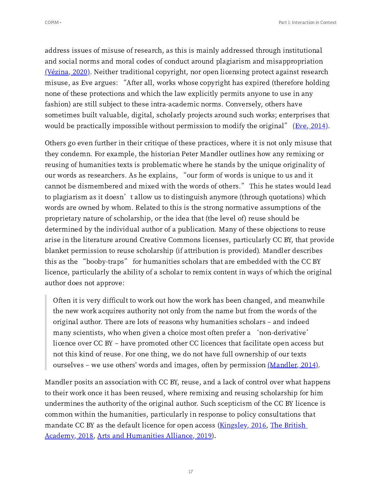address issues of misuse of research, as this is mainly addressed through institutional and social norms and moral codes of conduct around plagiarism and misappropriation <u>[\(Vézina,](#page-42-10) 2020)</u>. Neither traditional copyright, nor open licensing protect against research<br>misuse, as Eve argues: "After all, works whose copyright has expired (therefore holding none of these protections and which the law explicitly permits anyone to use in any fashion) are still subject to these intra-academic norms. Conversely, others have sometimes built valuable, digital, scholarly projects around such works; enterprises that<br>would be practically impossible without permission to modify the original" <u>(Eve, 2014[\)](#page-42-1)</u>.

Others go even further in their critique of these practices, where it is not only misuse that they condemn. For example, the historian Peter Mandler outlines how any remixing or reusing of humanities texts is problematic where he stands by the unique originality of our words as researchers. As he explains, "our form of words is unique to us and it our words as researchers. As he explains, "our form of words is unique to us and it<br>cannot be dismembered and mixed with the words of others." This he states would lead cannot be dismembered and mixed with the words of others." This he states would lea<br>to plagiarism as it doesn't allow us to distinguish anymore (through quotations) which words are owned by whom. Related to this is the strong normative assumptions of the proprietary nature of scholarship, or the idea that (the level of) reuse should be determined by the individual author of a publication. Many of these objections to reuse arise in the literature around Creative Commons licenses, particularly CC BY, that provide blanket permission to reuse scholarship (if attribution is provided). Mandler describes this as the "booby-traps" for humanities scholars that are embedded with the CC BY licence, particularly the ability of a scholar to remix content in ways of which the original author does not approve:

Often it is very difficult to work out how the work has been changed, and meanwhile the new work acquires authority not only from the name but from the words of the original author. There are lots of reasons why humanities scholars – and indeed many scientists, who when given <sup>a</sup> choice most often prefer <sup>a</sup> 'non-derivative' licence over CC BY – have promoted other CC licences that facilitate open access but not this kind of reuse. For one thing, we do not have full ownership of our texts ourselves – we use others' words and images, often by permission  $(Mandler, 2014)$  $(Mandler, 2014)$ .

<span id="page-16-3"></span><span id="page-16-2"></span><span id="page-16-1"></span><span id="page-16-0"></span>Mandler posits an association with CC BY, reuse, and a lack of control over what happens to their work once it has been reused, where remixing and reusing scholarship for him undermines the authority of the original author. Such scepticism of the CC BY licence is common within the humanities, particularly in response to policy consultations that mandate CC BY as the default licence for open access [\(Kingsley,](#page-43-4) 2016, The British Academy, 2018, Arts and [Humanities](#page-43-5) Alliance, 2019).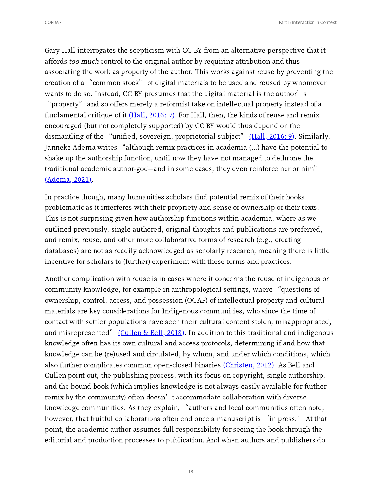Gary Hall interrogates the scepticism with CC BY from an alternative perspective that it affords too much control to the original author by requiring attribution and thus associating the work as property of the author. This works against reuse by preventing the creation of <sup>a</sup> "common stock" of digital materials to be used and reused by whomever creation of a "common stock" of digital materials to be used and reused by whomever<br>wants to do so. Instead, CC BY presumes that the digital material is the author's

<span id="page-17-0"></span>"property" and so offers merely <sup>a</sup> reformist take on intellectual property instead of <sup>a</sup> fundamental critique of it  $(Hall, 2016: 9)$  $(Hall, 2016: 9)$ . For Hall, then, the kinds of reuse and remix encouraged (but not completely supported) by CC BY would thus depend on the dismantling of the "unified, sovereign, proprietorial subject"  $(Hall, 2016: 9)$  $(Hall, 2016: 9)$ . Similarly, Janneke Adema writes "although remix practices in academia (...) have the potential to shake up the authorship function, until now they have not managed to dethrone the traditional academic author-god—and in some cases, they even reinforce her or him"  $(Adema, 2021).$  $(Adema, 2021).$ 

<span id="page-17-1"></span>In practice though, many humanities scholars find potential remix of their books problematic as it interferes with their propriety and sense of ownership of their texts. This is not surprising given how authorship functions within academia, where as we outlined previously, single authored, original thoughts and publications are preferred, and remix, reuse, and other more collaborative forms of research (e.g., creating databases) are not as readily acknowledged as scholarly research, meaning there is little incentive for scholars to (further) experiment with these forms and practices.

<span id="page-17-2"></span>Another complication with reuse is in cases where it concerns the reuse of indigenous or community knowledge, for example in anthropological settings, where "questions of ownership, control, access, and possession (OCAP) of intellectual property and cultural materials are key considerations for Indigenous communities, who since the time of contact with settler populations have seen their cultural content stolen, misappropriated, and misrepresented"  $(Cullen & Bell, 2018)$  $(Cullen & Bell, 2018)$ . In addition to this traditional and indigenous knowledge often has its own cultural and access protocols, determining if and how that knowledge can be (re)used and circulated, by whom, and under which conditions, which also further complicates common open-closed binaries [\(Christen,](#page-43-9) 2012). As Bell and Cullen point out, the publishing process, with its focus on copyright, single authorship, and the bound book (which implies knowledge is not always easily available for further remix by the community) often doesn't accommodate collaboration with diverse remix by the community) often doesn't accommodate collaboration with diverse<br>knowledge communities. As they explain, "authors and local communities often note, knowledge communities. As they explain, "authors and local communities often note,<br>however, that fruitful collaborations often end once a manuscript is 'in press.' At that point, the academic author assumes full responsibility for seeing the book through the editorial and production processes to publication. And when authors and publishers do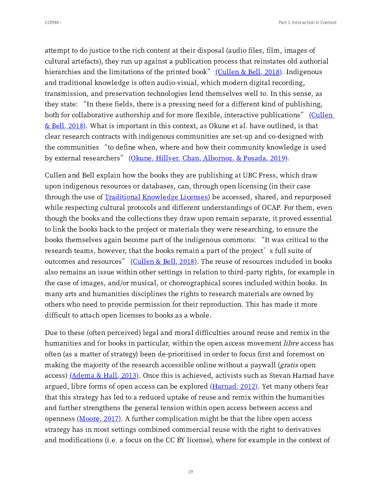attempt to do justice to the rich content at their disposal (audio files, film, images of cultural artefacts), they run up against a publication process that reinstates old authorial hierarchies and the limitations of the printed book"  $\langle$ Cullen & Bell, 2018). Indigenous and traditional knowledge is often audio-visual, which modern digital recording, transmission, and preservation technologies lend themselves well to. In this sense, as transmission, and preservation technologies lend themselves well to. In this sense, as<br>they state: "In these fields, there is a pressing need for a different kind of publishing, they state: "In these fields, there is a pressing need for a different kind of publishing,<br>both for [collaborative](#page-42-9) authorship and for more flexible, interactive publications" <u>(Cullen</u>  $&$  Bell, 2018). What is important in this context, as Okune et al. have outlined, is that clear research contracts with indigenous communities are set-up and co-designed with the communities "to define when, where and how their community knowledge is used the communities "to define when, where and how their community knowledge is used<br>by external researchers" <u>(Okune, Hillyer, Chan, [Albornoz,](#page-43-10) & Posada, 2019)</u>.

<span id="page-18-0"></span>Cullen and Bell explain how the books they are publishing at UBC Press, which draw upon indigenous resources or databases, can, through open licensing (in their case through the use of Traditional [Knowledge](https://localcontexts.org/licenses/traditional-knowledge-licenses/) Licenses) be accessed, shared, and repurposed while respecting cultural protocols and different understandings of OCAP. For them, even though the books and the collections they draw upon remain separate, it proved essential to link the books back to the project or materials they were researching, to ensure the to link the books back to the project or materials they were researching, to ensure the<br>books themselves again become part of the indigenous commons: "It was critical to the books themselves again become part of the indigenous commons: "It was critical t<br>research teams, however, that the books remain a part of the project's full suite of research teams, however, that the books remain a part of the project's full suite of outcomes and resources" [\(Cullen](#page-42-9) & Bell, 2018). The reuse of resources included in books also remains an issue within other settings in relation to third-party rights, for example in the case of images, and/or musical, or choreographical scores included within books. In many arts and humanities disciplines the rights to research materials are owned by others who need to provide permission for their reproduction. This has made it more difficult to attach open licenses to books as a whole.

<span id="page-18-3"></span><span id="page-18-2"></span><span id="page-18-1"></span>Due to these (often perceived) legal and moral difficulties around reuse and remix in the humanities and for books in particular, within the open access movement *libre* access has often (as a matter of strategy) been de-prioritised in order to focus first and foremost on making the majority of the research accessible online without a paywall (*gratis* open access) ( $Adema \& Hall, 2013$ ). Once this is achieved, activists such as Stevan Harnad have argued, libre forms of open access can be explored  $(Harnad, 2012)$  $(Harnad, 2012)$ . Yet many others fear that this strategy has led to a reduced uptake of reuse and remix within the humanities and further strengthens the general tension within open access between access and openness  $(Moore, 2017)$  $(Moore, 2017)$ . A further complication might be that the libre open access strategy has in most settings combined commercial reuse with the right to derivatives and modifications (i.e. a focus on the CC BY license), where for example in the context of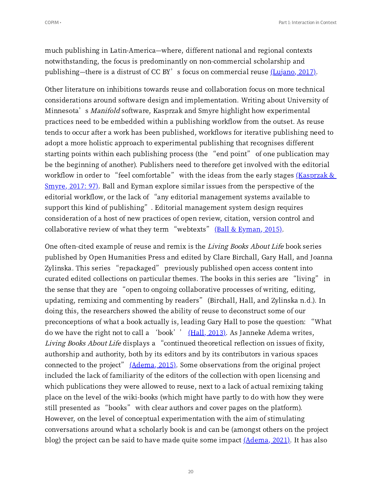much publishing in Latin-America—where, different national and regional contexts notwithstanding, the focus is predominantly on non-commercial scholarship and publishing—there is a distrust of CC BY's focus on commercial reuse  $(Lujano, 2017)$  $(Lujano, 2017)$ .

<span id="page-19-0"></span>Other literature on inhibitions towards reuse and collaboration focus on more technical considerations around software design and implementation. Writing about University of Minnesota's Manifold software, Kasprzak and Smyre highlight how experimental practices need to be embedded within a publishing workflow from the outset. As reuse tends to occur after a work has been published, workflows for iterative publishing need to adopt a more holistic approach to experimental publishing that recognises different starting points within each publishing process (the "end point" of one publication may be the beginning of another). Publishers need to therefore get involved with the editorial workflow in order to "feel [comfortable](#page-44-4)" with the ideas from the early stages (Kasprzak &  $Smyre, 2017: 97$ ). Ball and Eyman explore similar issues from the perspective of the <u>Smyre, 2017: 97)</u>. Ball and Eyman explore similar issues from the perspective of th<br>editorial workflow, or the lack of "any editorial management systems available to editorial workflow, or the lack of "any editorial management systems available<br>support this kind of publishing". Editorial management system design requires consideration of a host of new practices of open review, citation, version control and<br>collaborative review of what they term "webtexts" <u>(Ball & [Eyman,](#page-44-5) 2015)</u>.

<span id="page-19-4"></span><span id="page-19-3"></span><span id="page-19-2"></span><span id="page-19-1"></span>One often-cited example of reuse and remix is the Living Books About Life book series published by Open Humanities Press and edited by Clare Birchall, Gary Hall, and Joanna Zylinska. This series "repackaged" previously published open access content into Zylinska. This series "repackaged" previously published open access content into<br>curated edited collections on particular themes. The books in this series are "living" in curated edited collections on particular themes. The books in this series are "living"<br>the sense that they are "open to ongoing collaborative processes of writing, editing, the sense that they are "open to ongoing collaborative processes of writing, editing, updating, remixing and commenting by readers" (Birchall, Hall, and Zylinska n.d.). In doing this, the researchers showed the ability of reuse to deconstruct some of our preconceptions of what <sup>a</sup> book actually is, leading Gary Hall to pose the question: "What preconceptions of what a book actually is, leading Gary Hall to pose the question: "<br>do we have the right not to call a 'book'' <u>[\(Hall,](#page-44-6) 2013</u>). As Janneke Adema writes, do we have the right not to call a 'book'' <u>(Hall, 2013)</u>. As Janneke Adema writes,<br>*Living Books About Life* displays a "continued theoretical reflection on issues of fixity, authorship and authority, both by its editors and by its contributors in various spaces connected to the project"  $(Adema, 2015)$  $(Adema, 2015)$ . Some observations from the original project included the lack of familiarity of the editors of the collection with open licensing and which publications they were allowed to reuse, next to a lack of actual remixing taking place on the level of the wiki-books (which might have partly to do with how they were still presented as "books" with clear authors and cover pages on the platform). However, on the level of conceptual experimentation with the aim of stimulating conversations around what a scholarly book is and can be (amongst others on the project blog) the project can be said to have made quite some impact  $(\underline{\text{Adema}}, 2021)$ . It has also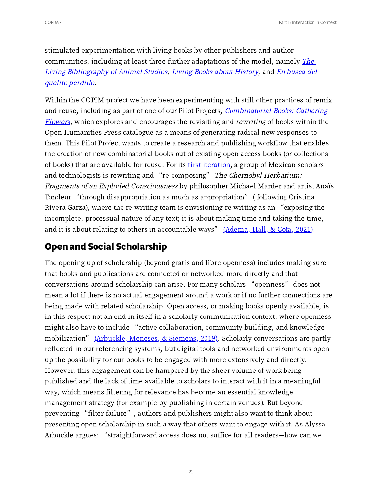stimulated experimentation with living books by other publishers and author communities, including at least three further adaptations of the model, namely *The* Living [Biblio](http://www.lbanimalstudies.org.uk/index.php?title=Main_Page)[g](https://enbuscadelqueliteperdido.net/historia-y-creditos/)[ra](http://www.lbanimalstudies.org.uk/index.php?title=Main_Page)[p](https://enbuscadelqueliteperdido.net/historia-y-creditos/)[h](http://www.lbanimalstudies.org.uk/index.php?title=Main_Page)[y](https://enbuscadelqueliteperdido.net/historia-y-creditos/) of Animal Studies, Living Books about [History,](https://www.livingbooksabouthistory.ch/en) and En busca del quelite perdido.

Within the COPIM project we have been experimenting with still other practices of remix and reuse, including as part of one of our Pilot Projects, *[Combinatorial](https://copim.pubpub.org/pub/combinatorial-books-gathering-flowers-part-i/release/1?readingCollection=1bb570ed) Books: Gathering* Flower[s](https://copim.pubpub.org/pub/combinatorial-books-gathering-flowers-part-i/release/1?readingCollection=1bb570ed), which explores and encourages the revisiting and *rewriting* of books within the Open Humanities Press catalogue as a means of generating radical new responses to them. This Pilot Project wants to create a research and publishing workflow that enables the creation of new combinatorial books out of existing open access books (or collections of books) that are available for reuse. For its first iteration, a group of Mexican scholars and technologists is rewriting and ["](https://copim.pubpub.org/pub/combinatorial-books-gathering-flowers-part-iii/release/1?readingCollection=1bb570ed)re-composing" The Chernobyl Herbarium: Fragments of an Exploded Consciousness by philosopher Michael Marder and artist Anaïs Tondeur "through disappropriation as much as appropriation" ( following Cristina Tondeur "through disappropriation as much as appropriation" (following Cristina<br>Rivera Garza), where the re-writing team is envisioning re-writing as an "exposing the incomplete, processual nature of any text; it is about making time and taking the time,<br>and it is about relating to others in accountable ways" <u>[\(Adema,](#page-44-8) Hall, & Cota, 2021)</u>.

# <span id="page-20-0"></span>**Open and Social Scholarship**

<span id="page-20-1"></span>The opening up of scholarship (beyond gratis and libre openness) includes making sure that books and publications are connected or networked more directly and that conversations around scholarship can arise. For many scholars "openness" does not mean a lot if there is no actual engagement around a work or if no further connections are being made with related scholarship. Open access, or making books openly available, is in this respect not an end in itself in a scholarly communication context, where openness might also have to include "active collaboration, community building, and knowledge might also have to include "active collaboration, community building, and knowledge<br>mobilization" <u>[\(Arbuckle,](#page-44-9) Meneses, & Siemens, 2019)</u>. Scholarly conversations are partly reflected in our referencing systems, but digital tools and networked environments open up the possibility for our books to be engaged with more extensively and directly. However, this engagement can be hampered by the sheer volume of work being published and the lack of time available to scholars to interact with it in a meaningful way, which means filtering for relevance has become an essential knowledge management strategy (for example by publishing in certain venues). But beyond preventing "filter failure", authors and publishers might also want to think about presenting open scholarship in such a way that others want to engage with it. As Alyssa Arbuckle argues: "straightforward access does not suffice for all readers—how can we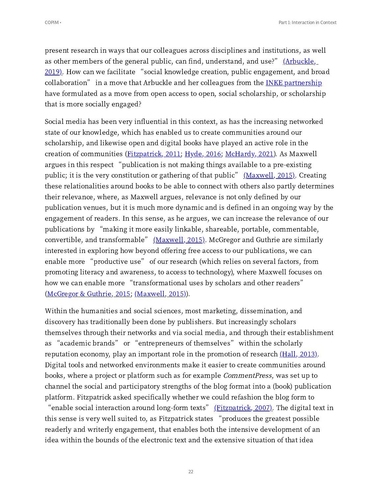<span id="page-21-0"></span>present research in ways that our colleagues across disciplines and institutions, as well as other members of the general public, can find, understand, and use?" (Arbuckle, as other members of the general public, can find, understand, and use?" <u>(Arbuckle, .</u><br><u>2019)</u>. How can we facilitate "social knowledge creation, public engagement, and broad <u>2019)</u>. How can we facilitate ["](#page-44-10)social knowledge creation, public engagement, and broa<br>collaboration" in a move that Arbuckle and her colleagues from the <u>INKE [partnership](https://inke.ca/)</u> have formulated as a move from open access to open, social scholarship, or scholarship that is more socially engaged?

<span id="page-21-3"></span><span id="page-21-2"></span><span id="page-21-1"></span>Social media has been very influential in this context, as has the increasing networked state of our knowledge, which has enabled us to create communities around our scholarship, and likewise open and digital books have played an active role in the creation of communities (<u>Fitzpatrick, 2011; [Hyde,](#page-45-0) 2016; [McHardy,](#page-45-1) 2021</u>). As Maxwell<br>argues in this respect "publication is not making things available to a pre-existing argues in this respect "publication is not making things available to a pre-existing<br>public; it is the very constitution or gathering of that public" [\(Maxwell,](#page-45-2) 2015). Creating these relationalities around books to be able to connect with others also partly determines their relevance, where, as Maxwell argues, relevance is not only defined by our publication venues, but it is much more dynamic and is defined in an ongoing way by the engagement of readers. In this sense, as he argues, we can increase the relevance of our engagement of readers. In this sense, as he argues, we can increase the relevance of o<br>publications by "making it more easily linkable, shareable, portable, commentable, publications by "making it more easily linkable, shareable, portable, commentable,<br>convertible, and transformable" <u>[\(Maxwell,](#page-45-2) 2015)</u>. McGregor and Guthrie are similarly interested in exploring how beyond offering free access to our publications, we can enable more "productive use" of our research (which relies on several factors, from promoting literacy and awareness, to access to technology), where Maxwell focuses on how we can enable more "transformational uses by scholars and other readers" ([McGregor](#page-45-3) & Guthrie, 2015; [\(Maxwell,](#page-45-2) 2015)).

<span id="page-21-4"></span>Within the humanities and social sciences, most marketing, dissemination, and discovery has traditionally been done by publishers. But increasingly scholars themselves through their networks and via social media, and through their establishment as "academic brands" or "entrepreneurs of themselves" within the scholarly reputation economy, play an important role in the promotion of research  $(Hall, 2013)$  $(Hall, 2013)$ . Digital tools and networked environments make it easier to create communities around books, where a project or platform such as for example CommentPress, was set up to channel the social and participatory strengths of the blog format into a (book) publication platform. Fitzpatrick asked specifically whether we could refashion the blog form to

<span id="page-21-5"></span>"enable social interaction around long-form texts" (Fitzpatrick, 2007). The digital text in this sense is very well suited to, as Fitzpatrick states ["](#page-45-4)produces the greatest possible readerly and writerly engagement, that enables both the intensive development of an idea within the bounds of the electronic text and the extensive situation of that idea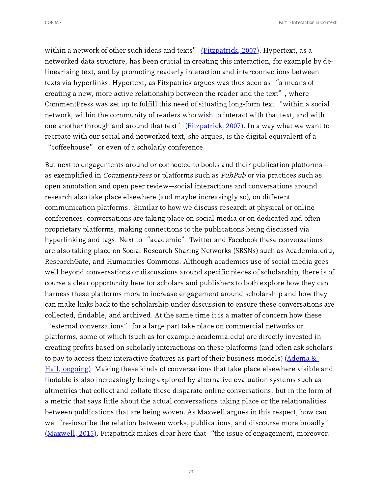within a network of other such ideas and texts"  $(Fitzpatrick, 2007)$  $(Fitzpatrick, 2007)$ . Hypertext, as a networked data structure, has been crucial in creating this interaction, for example by delinearising text, and by promoting readerly interaction and interconnections between texts via hyperlinks. Hypertext, as Fitzpatrick argues was thus seen as "a means of texts via hyperlinks. Hypertext, as Fitzpatrick argues was thus seen as "a means o<br>creating a new, more active relationship between the reader and the text", where creating a new, more active relationship between the reader and the text", where<br>CommentPress was set up to fulfill this need of situating long-form text "within a social network, within the community of readers who wish to interact with that text, and with one another through and around that text"  $(Fitz$ <sub>natrick</sub>, 2007). In a way what we want to recreate with our social and networked text, she argues, is the digital equivalent of a "coffeehouse" or even of <sup>a</sup> scholarly conference.

But next to engagements around or connected to books and their publication platforms as exemplified in *CommentPress* or platforms such as *PubPub* or via practices such as open annotation and open peer review—social interactions and conversations around research also take place elsewhere (and maybe increasingly so), on different communication platforms. Similar to how we discuss research at physical or online conferences, conversations are taking place on social media or on dedicated and often proprietary platforms, making connections to the publications being discussed via hyperlinking and tags. Next to "academic" Twitter and Facebook these conversations are also taking place on Social Research Sharing Networks (SRSNs) such as Academia.edu, ResearchGate, and Humanities Commons. Although academics use of social media goes well beyond conversations or discussions around specific pieces of scholarship, there is of course a clear opportunity here for scholars and publishers to both explore how they can harness these platforms more to increase engagement around scholarship and how they can make links back to the scholarship under discussion to ensure these conversations are collected, findable, and archived. At the same time it is a matter of concern how these "external conversations" for <sup>a</sup> large part take place on commercial networks or

<span id="page-22-0"></span>platforms, some of which (such as for example academia.edu) are directly invested in creating profits based on scholarly interactions on these platforms (and often ask scholars to pay to access their interactive features as part of their business models)  $(\text{Adema} \&)$ Hall, ongoing). Making these kinds of [conversations](#page-45-5) that take place elsewhere visible and findable is also increasingly being explored by alternative evaluation systems such as altmetrics that collect and collate these disparate online conversations, but in the form of a metric that says little about the actual conversations taking place or the relationalities between publications that are being woven. As Maxwell argues in this respect, how can we "re-inscribe the relation between works, publications, and discourse more broadly" we "re-inscribe the relation between works, publications, and discourse more broadly"<br><u>[\(Maxwell,](#page-45-2) 2015)</u>. Fitzpatrick makes clear here that "the issue of engagement, moreover,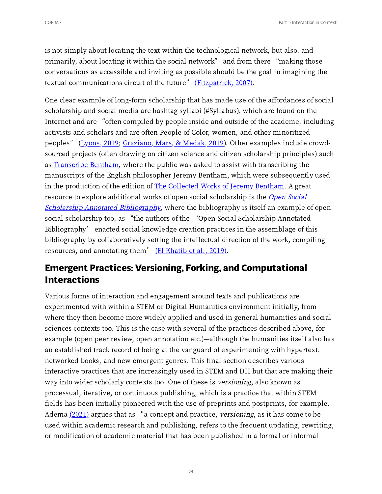is not simply about locating the text within the technological network, but also, and primarily, about locating it within the social network" and from there "making those conversations as accessible and inviting as possible should be the goal in imagining the<br>textual communications circuit of the future" <u>[\(Fitzpatrick,](#page-45-4) 2007)</u>.

<span id="page-23-1"></span><span id="page-23-0"></span>One clear example of long-form scholarship that has made use of the affordances of social scholarship and social media are hashtag syllabi (#Syllabus), which are found on the Internet and are "often compiled by people inside and outside of the academe, including activists and scholars and are often People of Color, women, and other minoritized<br>peoples" (<u>[Lyons,](#page-45-6) 2019; [Graziano,](#page-45-7) Mars, & Medak, 2019</u>). Other examples include crowdsourced projects (often drawing on citizen science and citizen scholarship principles) such as [Transcribe](http://transcribe-bentham.ucl.ac.uk/td/Transcribe_Bentham) Bentham, where the public was asked to assist with transcribing the manuscripts of the English philosopher Jeremy Bentham, which were subsequently used in the production of the edition of The [Collected](http://www.ucl.ac.uk/bentham-project/publications/collected-works) Works of Jeremy Bentham. A great resource to explore additional works of open social scholarship is the *Open Social* Scholarship Annotated [Bibliography](https://kula.uvic.ca/index.php/kula/article/view/82/158), where the bibliography is itself an example of open social scholarship too, as "the authors of the 'Open Social Scholarship Annotated social scholarship too, as "the authors of the 'Open Social Scholarship Annotated<br>Bibliography' enacted social knowledge creation practices in the assemblage of this bibliography by collaboratively setting the intellectual direction of the work, compiling resources, and annotating them"  $(EI Khatib et al., 2019)$  $(EI Khatib et al., 2019)$  $(EI Khatib et al., 2019)$ .

# <span id="page-23-2"></span>**Emergent Practices: Versioning, Forking, and Computational Interactions**

<span id="page-23-3"></span>Various forms of interaction and engagement around texts and publications are experimented with within a STEM or Digital Humanities environment initially, from where they then become more widely applied and used in general humanities and social sciences contexts too. This is the case with several of the practices described above, for example (open peer review, open annotation etc.)—although the humanities itself also has an established track record of being at the vanguard of experimenting with hypertext, networked books, and new emergent genres. This final section describes various interactive practices that are increasingly used in STEM and DH but that are making their way into wider scholarly contexts too. One of these is *versioning*, also known as processual, iterative, or continuous publishing, which is a practice that within STEM fields has been initially pioneered with the use of preprints and postprints, for example.<br>Adema <u>[\(2021\)](#page-45-9)</u> argues that as "a concept and practice*, versioning,* as it has come to be used within academic research and publishing, refers to the frequent updating, rewriting, or modification of academic material that has been published in a formal or informal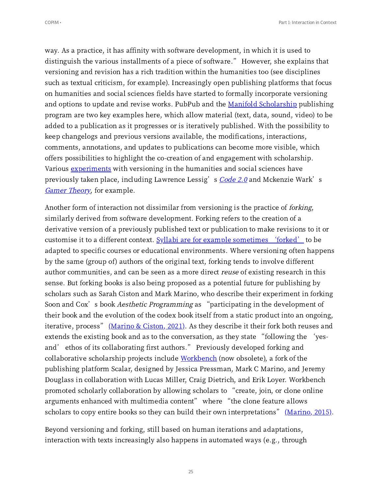way. As a practice, it has affinity with software development, in which it is used to distinguish the various installments of <sup>a</sup> piece of software." However, she explains that versioning and revision has a rich tradition within the humanities too (see disciplines such as textual criticism, for example). Increasingly open publishing platforms that focus on humanities and social sciences fields have started to formally incorporate versioning and options to update and revise works. PubPub and the Manifold [Scholarship](https://cuny.manifoldapp.org/) publishing program are two key examples here, which allow material (text, data, sound, video) to be added to a publication as it progresses or is iteratively published. With the possibility to keep changelogs and previous versions available, the modifications, interactions, comments, annotations, and updates to publications can become more visible, which offers possibilities to highlight the co-creation of and engagement with scholarship. Various <u>[experiments](https://copim.pubpub.org/pub/books-contain-multitudes-part-2-typology-of-experimental-books/release/1#versioned-books)</u> with versioning in the humanities and social sciences have<br>previously taken place, including Lawrence Lessig's *[Code](https://web.archive.org/web/20190314234037/http:/www.codev2.cc/) 2.0* and Mckenzie Wark's Gamer [Theory](http://futureofthebook.org/mckenziewark/index.html), for example.

Another form of interaction not dissimilar from versioning is the practice of *forking*, similarly derived from software development. Forking refers to the creation of a derivative version of a previously published text or publication to make revisions to it or customise it to a different context. Syllabi are for example sometimes '[forked](https://github.com/open-organization/open-org-educators-guide/issues/10)' to be adapted to specific courses or educational environments. Where versioning often happens by the same (group of) authors of the original text, forking tends to involve different author communities, and can be seen as a more direct reuse of existing research in this sense. But forking books is also being proposed as a potential future for publishing by scholars such as Sarah Ciston and Mark Marino, who describe their experiment in forking Soon and Cox's book *Aesthetic Programming* as "participating in the development of their book and the evolution of the codex book itself from a static product into an ongoing,<br>iterative, process" <u>[\(Marino](#page-45-10) & Ciston, 2021)</u>. As they describe it their fork both reuses and iterative, process"  $(Marino & Ciston, 2021)$ . As they describe it their fork both reuses and extends the existing book and as to the conversation, as they state "following the 'yes-<br>and' ethos of its collaborating first authors." Previously developed forking and collaborative scholarship projects include [Workbench](https://web.archive.org/web/20180118150527/http:/scalar.usc.edu:80/aclsworkbench/) (now obsolete), a fork of the publishing platform Scalar, designed by Jessica Pressman, Mark C Marino, and Jeremy Douglass in collaboration with Lucas Miller, Craig Dietrich, and Erik Loyer. Workbench Douglass in collaboration with Lucas Miller, Craig Dietrich, and Erik Loyer. Workbench<br>promoted scholarly collaboration by allowing scholars to "create, join, or clone online promoted scholarly collaboration by allowing scholars to "create, join, or clone or<br>arguments enhanced with multimedia content" where "the clone feature allows arguments enhanced with multimedia content" where "the clone feature allows scholars to copy entire books so they can build their own interpretations" [\(Marino,](#page-46-0) 2015).

<span id="page-24-1"></span><span id="page-24-0"></span>Beyond versioning and forking, still based on human iterations and adaptations, interaction with texts increasingly also happens in automated ways (e.g., through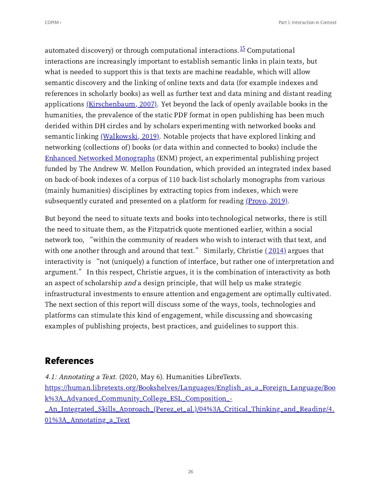<span id="page-25-1"></span><span id="page-25-0"></span>automated discovery) or through computational interactions.<sup>[15](#page-39-8)</sup> Computational interactions are increasingly important to establish semantic links in plain texts, but what is needed to support this is that texts are machine readable, which will allow semantic discovery and the linking of online texts and data (for example indexes and references in scholarly books) as well as further text and data mining and distant reading applications  $(Kirschenbaum, 2007)$  $(Kirschenbaum, 2007)$ . Yet beyond the lack of openly available books in the humanities, the prevalence of the static PDF format in open publishing has been much derided within DH circles and by scholars experimenting with networked books and semantic linking  $(Walkowski, 2019)$  $(Walkowski, 2019)$ . Notable projects that have explored linking and networking (collections of) books (or data within and connected to books) include the Enhanced Networked [Monographs](https://wp.nyu.edu/enmproject/) (ENM) project, an experimental publishing project funded by The Andrew W. Mellon Foundation, which provided an integrated index based on back-of-book indexes of a corpus of 110 back-list scholarly monographs from various (mainly humanities) disciplines by extracting topics from indexes, which were subsequently curated and presented on a platform for reading  $(Provo, 2019)$  $(Provo, 2019)$ .

<span id="page-25-4"></span><span id="page-25-3"></span><span id="page-25-2"></span>But beyond the need to situate texts and books into technological networks, there is still the need to situate them, as the Fitzpatrick quote mentioned earlier, within a social network too, "within the community of readers who wish to interact with that text, and network too, "within the community of readers who wish to interact with that text, and<br>with one another through and around that text." Similarly, Christie <u>([2014\)](#page-46-4)</u> argues that with one another through and around that text." Similarly, Christie <u>(2014)</u> argues that<br>interactivity is "not (uniquely) a function of interface, but rather one of interpretation and interactivity is "not (uniquely) a function of interface, but rather one of interpretation an<mark>e</mark><br>argument." In this respect, Christie argues, it is the combination of interactivity as both an aspect of scholarship and a design principle, that will help us make strategic infrastructural investments to ensure attention and engagement are optimally cultivated. The next section of this report will discuss some of the ways, tools, technologies and platforms can stimulate this kind of engagement, while discussing and showcasing examples of publishing projects, best practices, and guidelines to support this.

## **References**

4.1: Annotating a Text. (2020, May 6). Humanities LibreTexts.

[https://human.libretexts.org/Bookshelves/Languages/English\\_as\\_a\\_Foreign\\_Language/Boo](https://human.libretexts.org/Bookshelves/Languages/English_as_a_Foreign_Language/Book%3A_Advanced_Community_College_ESL_Composition_-_An_Integrated_Skills_Approach_(Perez_et_al.)/04%3A_Critical_Thinking_and_Reading/4.01%3A_Annotating_a_Text) k%A\_Advanced\_Community\_College\_ESL\_Composition\_-

\_An\_Integrated\_Skills\_Approach\_(Perez\_et\_al.)/04%3A\_Critical\_Thinking\_and\_Reading/4. %A\_Annotating\_a\_Text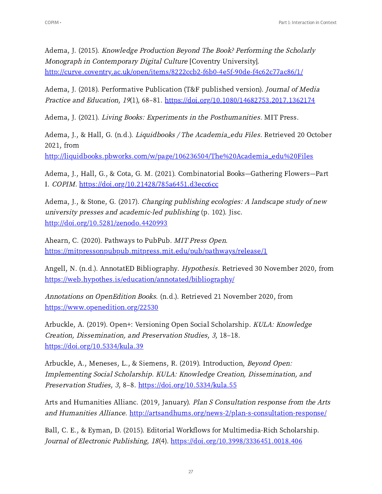Adema, J. (2015). Knowledge Production Beyond The Book? Performing the Scholarly Monograph in Contemporary Digital Culture [Coventry University]. http://curve.coventry.ac.uk/open/items/8222ccb2-f6b0-4e5f-90de-f4c62c77ac86/1/

Adema, J. (2018). Performative Publication (T&F published version). Journal of Media Practice and Education, 19(1), 68–81. https://doi.org/10.1080/14682753.2017.1362174

Adema, J. (2021). Living Books: Experiments in the Posthumanities. MIT Press.

Adema, J., & Hall, G. (n.d.). *Liquidbooks / The Academia\_edu Files*. Retrieved 20 October 2021, from http://liquidbooks.pbworks.com/w/page/106236504/The%20Academia\_edu%20Files

Adema, J., Hall, G., & Cota, G. M. (2021). Combinatorial Books—Gathering Flowers—Part I. COPIM. https://doi.org/10.21428/785a6451.d3ecc6cc

Adema, J., & Stone, G. (2017). *Changing publishing ecologies: A landscape study of new* university presses and academic-led publishing (p. 102). Jisc. http://doi.org/10.5281/zenodo.4420993

Ahearn, C. (2020). Pathways to PubPub. MIT Press Open. [https://mitpressonpubpub.mitpress.mit.edu/pub/pathways/release/](https://mitpressonpubpub.mitpress.mit.edu/pub/pathways/release/1)

Angell, N. (n.d.). AnnotatED Bibliography. *Hypothesis*. Retrieved 30 November 2020, from <https://web.hypothes.is/education/annotated/bibliography/>

Annotations on OpenEdition Books. (n.d.). Retrieved 21 November 2020, from [https://www.openedition.org/](https://www.openedition.org/22530)

Arbuckle, A. (2019). Open+: Versioning Open Social Scholarship. KULA: Knowledge Creation, Dissemination, and Preservation Studies, 3, 18-18.  $\frac{https://doi.org/10.5334/kula.39}{https://doi.org/10.5334/kula.39}$ 

Arbuckle, A., Meneses, L., & Siemens, R. (2019). Introduction, Beyond Open: Implementing Social Scholarship. KULA: Knowledge Creation, Dissemination, and Preservation Studies, 3, 8-8. https://doi.org/10.5334/kula.55

Arts and Humanities Allianc. (2019, January). Plan S Consultation response from the Arts and Humanities Alliance. http://artsandhums.org/news-2/plan-s-consultation-response/

Ball, C. E., & Eyman, D. (2015). Editorial Workflows for Multimedia-Rich Scholarship. Journal of Electronic Publishing, 18(4). https://doi.org/10.3998/3336451.0018.406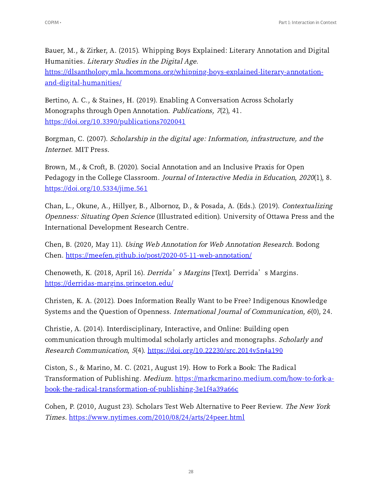Bauer, M., & Zirker, A. (2015). Whipping Boys Explained: Literary Annotation and Digital Humanities. Literary Studies in the Digital Age. [https://dlsanthology.mla.hcommons.org/whipping-boys-explained-literary-annotation](https://dlsanthology.mla.hcommons.org/whipping-boys-explained-literary-annotation-and-digital-humanities/)and-digital-humanities/

Bertino, A. C., & Staines, H. (2019). Enabling A Conversation Across Scholarly Monographs through Open Annotation. Publications, 7(2), 41. https://doi.org/10.3390/publications7020041

Borgman, C. (2007). Scholarship in the digital age: Information, infrastructure, and the Internet. MIT Press.

Brown, M., & Croft, B. (2020). Social Annotation and an Inclusive Praxis for Open Pedagogy in the College Classroom. Journal of Interactive Media in Education, 2020(1), 8.  $\frac{\text{https://doi.org/10.5334/jime.561}}{$ 

Chan, L., Okune, A., Hillyer, B., Albornoz, D., & Posada, A. (Eds.). (2019). Contextualizing Openness: Situating Open Science (Illustrated edition). University of Ottawa Press and the International Development Research Centre.

Chen, B. (2020, May 11). Using Web Annotation for Web Annotation Research. Bodong Chen. https://meefen.github.io/post/2020-05-11-web-annotation/

Chenoweth, K. (2018, April 16). *Derrida's Margins* [Text]. Derrida's Margins. <https://derridas-margins.princeton.edu/>

Christen, K. A. (2012). Does Information Really Want to be Free? Indigenous Knowledge Systems and the Question of Openness. International Journal of Communication, 6(0), 24.

Christie, A. (2014). Interdisciplinary, Interactive, and Online: Building open communication through multimodal scholarly articles and monographs. Scholarly and Research Communication,  $5(4)$ . https://doi.org/10.22230/src.2014v5n4a190

Ciston, S., & Marino, M. C. (2021, August 19). How to Fork a Book: The Radical Transformation of Publishing. Medium. https://markcmarino.medium.com/how-to-fork-abook-the-radical-transformation-of-publishing-3e1f4a39a66c

Cohen, P. (2010, August 23). Scholars Test Web Alternative to Peer Review. The New York Times. https://www.nytimes.com/2010/08/24/arts/24peer.html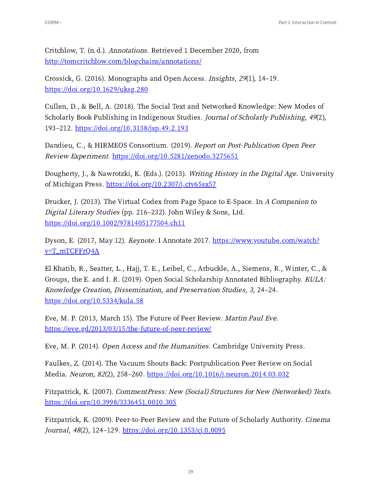Critchlow, T. (n.d.). Annotations. Retrieved 1 December 2020, from <http://tomcritchlow.com/blogchains/annotations/>

Crossick, G. (2016). Monographs and Open Access. Insights, 29(1), 14–19. https://doi.org/10.1629/uksg.280

Cullen, D., & Bell, A. (2018). The Social Text and Networked Knowledge: New Modes of Scholarly Book Publishing in Indigenous Studies. Journal of Scholarly Publishing, <sup>49</sup>(2), 193-212. https://doi.org/10.3138/jsp.49.2.193

Dandieu, C., & HIRMEOS Consortium. (2019). Report on Post-Publication Open Peer Review Experiment. https://doi.org/10.5281/zenodo.3275651

Dougherty, J., & Nawrotzki, K. (Eds.). (2013). Writing History in the Digital Age. University of Michigan Press. https://doi.org/10.2307/j.ctv65sx57

Drucker, J. (2013). The Virtual Codex from Page Space to E-Space. In A Companion to Digital Literary Studies (pp. 216-232). John Wiley & Sons, Ltd. https://doi.org/10.1002/9781405177504.ch11

Dyson, E. (2017, May 12). Keynote. I Annotate 2017. [https://www.youtube.com/watch?](https://www.youtube.com/watch?v=T_mTCFFrQ4A) v=T\_mTCFFrQA

El Khatib, R., Seatter, L., Hajj, T. E., Leibel, C., Arbuckle, A., Siemens, R., Winter, C., & Groups, the E. and I. R. (2019). Open Social Scholarship Annotated Bibliography. KULA: Knowledge Creation, Dissemination, and Preservation Studies, <sup>3</sup>, 24‒24.  $https://doi.org/10.5334/kula.58$ 

Eve, M. P. (2013, March 15). The Future of Peer Review. *Martin Paul Eve*. https://eve.gd/2013/03/15/the-future-of-peer-review/

Eve, M. P. (2014). Open Access and the Humanities. Cambridge University Press.

Faulkes, Z. (2014). The Vacuum Shouts Back: Postpublication Peer Review on Social Media. Neuron, 82(2), 258-260. https://doi.org/10.1016/j.neuron.2014.03.032

Fitzpatrick, K. (2007). CommentPress: New (Social) Structures for New (Networked) Texts. https://doi.org/10.3998/3336451.0010.305

Fitzpatrick, K. (2009). Peer-to-Peer Review and the Future of Scholarly Authority. *Cinema* Journal, 48(2), 124-129. https://doi.org/10.1353/cj.0.0095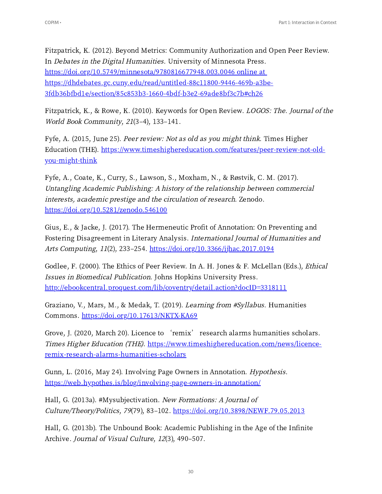Fitzpatrick, K. (2012). Beyond Metrics: Community Authorization and Open Peer Review. In Debates in the Digital Humanities. University of Minnesota Press. https://doi.org/10.5749/minnesota/9780816677948.003.0046 online at https://dhdebates.gc.cuny.edu/read/untitled-88c11800-9446-469b-a3be-3fdb36bfbd1e/section/85c853b3-1660-4bdf-b3e2-69ade8bf3c7b#ch26

Fitzpatrick, K., & Rowe, K. (2010). Keywords for Open Review. *LOGOS: The. Journal of the* World Book Community, 21(3-4), 133-141.

Fyfe, A. (2015, June 25). Peer review: Not as old as you might think. Times Higher Education (THE). [https://www.timeshighereducation.com/features/peer-review-not-old](https://www.timeshighereducation.com/features/peer-review-not-old-you-might-think)you-might-think

Fyfe, A., Coate, K., Curry, S., Lawson, S., Moxham, N., & Røstvik, C. M.  $(2017)$ . Untangling Academic Publishing: <sup>A</sup> history of the relationship between commercial interests, academic prestige and the circulation of research. Zenodo. https://doi.org/10.5281/zenodo.546100

Gius, E., & Jacke, J. (2017). The Hermeneutic Profit of Annotation: On Preventing and Fostering Disagreement in Literary Analysis. International Journal of Humanities and Arts Computing, 11(2), 233-254. https://doi.org/10.3366/ijhac.2017.0194

Godlee, F. (2000). The Ethics of Peer Review. In A. H. Jones & F. McLellan (Eds.), *Ethical* Issues in Biomedical Publication. Johns Hopkins University Press. [http://ebookcentral.proquest.com/lib/coventry/detail.action?docID=](http://ebookcentral.proquest.com/lib/coventry/detail.action?docID=3318111)

Graziano, V., Mars, M., & Medak, T. (2019). Learning from #Syllabus. Humanities Commons. https://doi.org/10.17613/NKTX-KA69

Grove, J. (2020, March 20). Licence to 'remix' research alarms humanities scholars. Times Higher Education (THE). [https://www.timeshighereducation.com/news/licence](https://www.timeshighereducation.com/news/licence-remix-research-alarms-humanities-scholars)remix-research-alarms-humanities-scholars

Gunn, L. (2016, May 24). Involving Page Owners in Annotation. *Hypothesis*. <https://web.hypothes.is/blog/involving-page-owners-in-annotation/>

Hall, G. (2013a). #Mysubjectivation. New Formations: A Journal of Culture/Theory/Politics, 79(79), 83-102. https://doi.org/10.3898/NEWF.79.05.2013

Hall, G. (2013b). The Unbound Book: Academic Publishing in the Age of the Infinite Archive. Journal of Visual Culture, 12(3), 490-507.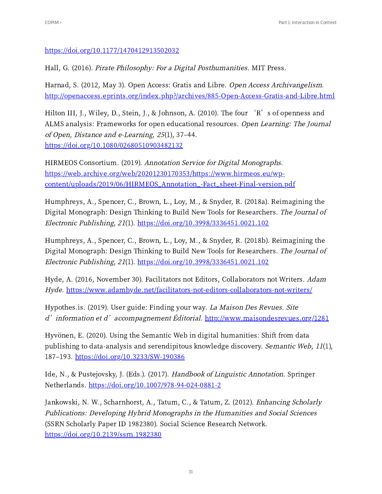https://doi.org/10.1177/1470412913502032

Hall, G. (2016). Pirate Philosophy: For a Digital Posthumanities. MIT Press.

Harnad, S. (2012, May 3). Open Access: Gratis and Libre. Open Access Archivangelism. http://openaccess.eprints.org/index.php?/archives/885-Open-Access-Gratis-and-Libre.html

Hilton III, J., Wiley, D., Stein, J., & Johnson, A. (2010). The four 'R's of openness and ALMS analysis: Frameworks for open educational resources. Open Learning: The Journal of Open, Distance and e-Learning, <sup>25</sup>(1), 37‒44. https://doi.org/10.1080/02680510903482132

HIRMEOS Consortium. (2019). Annotation Service for Digital Monographs. https://web.archive.org/web/20201230170353/https://www.hirmeos.eu/wpcontent/uploads/2019/06/HIRMEOS\_Annotation\_-Fact\_sheet-Final-version.pdf

Humphreys, A., Spencer, C., Brown, L., Loy, M., & Snyder, R. (2018a). Reimagining the Digital Monograph: Design Thinking to Build New Tools for Researchers. The Journal of Electronic Publishing, 21(1). https://doi.org/10.3998/3336451.0021.102

Humphreys, A., Spencer, C., Brown, L., Loy, M., & Snyder, R. (2018b). Reimagining the Digital Monograph: Design Thinking to Build New Tools for Researchers. The Journal of Electronic Publishing, 21(1). https://doi.org/10.3998/3336451.0021.102

Hyde, A. (2016, November 30). Facilitators not Editors, Collaborators not Writers. Adam Hyde. <https://www.adamhyde.net/facilitators-not-editors-collaborators-not-writers/>

Hypothes.is. (2019). User guide: Finding your way. La Maison Des Revues. Site d' information et d'accompagnement Éditorial.  $\frac{http://www.maisondesrevues.org/1281}{http://www.maisondesrevues.org/1281}$  $\frac{http://www.maisondesrevues.org/1281}{http://www.maisondesrevues.org/1281}$  $\frac{http://www.maisondesrevues.org/1281}{http://www.maisondesrevues.org/1281}$ 

Hyvönen, E. (2020). Using the Semantic Web in digital humanities: Shift from data publishing to data-analysis and serendipitous knowledge discovery. Semantic Web, 11(1), 187-193. https://doi.org/10.3233/SW-190386

Ide, N., & Pustejovsky, J. (Eds.). (2017). Handbook of Linguistic Annotation. Springer Netherlands. https://doi.org/10.1007/978-94-024-0881-2

Jankowski, N. W., Scharnhorst, A., Tatum, C., & Tatum, Z. (2012). Enhancing Scholarly Publications: Developing Hybrid Monographs in the Humanities and Social Sciences (SSRN Scholarly Paper ID 1982380). Social Science Research Network. https://doi.org/10.2139/ssrn.1982380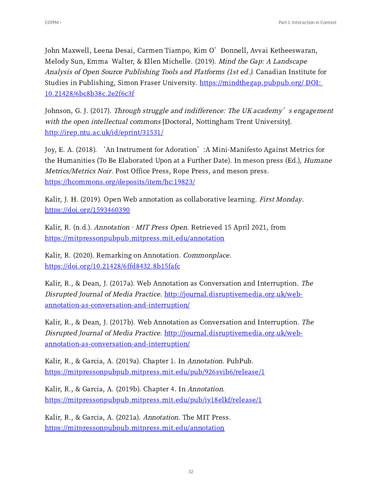John Maxwell, Leena Desai, Carmen Tiampo, Kim <sup>O</sup>'Donnell, Avvai Ketheeswaran, Melody Sun, Emma Walter, & Ellen Michelle. (2019). Mind the Gap: A Landscape Analysis of Open Source Publishing Tools and Platforms (1st ed.). Canadian Institute for Studies in Publishing, Simon Fraser University. [https://mindthegap.pubpub.org/](https://mindthegap.pubpub.org/%20DOI:%2010.21428/6bc8b38c.2e2f6c3f) DOI: 10.21428/6bc8b38c.2e2f6c3f

Johnson, G. J. (2017). Through struggle and indifference: The UK academy's engagement with the open intellectual commons [Doctoral, Nottingham Trent University]. http://irep.ntu.ac.uk/id/eprint/31531/

Joy, E. A. (2018). 'An Instrument for Adoration': A Mini-Manifesto Against Metrics for the Humanities (To Be Elaborated Upon at a Further Date). In meson press (Ed.), Humane Metrics/Metrics Noir. Post Office Press, Rope Press, and meson press. https://hcommons.org/deposits/item/hc:19823/

Kalir, J. H. (2019). Open Web annotation as collaborative learning. *First Monday*. [https://doi.org/](https://doi.org/1593460390)1593460390

Kalir, R. (n.d.). Annotation  $\cdot$  MIT Press Open. Retrieved 15 April 2021, from <https://mitpressonpubpub.mitpress.mit.edu/annotation>

Kalir, R. (2020). Remarking on Annotation. *Commonplace*. https://doi.org/10.21428/6ffd8432.8b15fafc

Kalir, R., & Dean, J. (2017a). Web Annotation as Conversation and Interruption. The Disrupted Journal of Media Practice. http://journal.disruptivemedia.org.uk/web[annotation-as-conversation-and-interruption/](http://journal.disruptivemedia.org.uk/web-annotation-as-conversation-and-interruption/)

Kalir, R., & Dean, J. (2017b). Web Annotation as Conversation and Interruption. The Disrupted Journal of Media Practice. http://journal.disruptivemedia.org.uk/web[annotation-as-conversation-and-interruption/](http://journal.disruptivemedia.org.uk/web-annotation-as-conversation-and-interruption/)

Kalir, R., & Garcia, A. (2019a). Chapter 1. In Annotation. PubPub. https://mitpressonpubpub.mitpress.mit.edu/pub/926svib6/release/1

Kalir, R., & Garcia, A. (2019b). Chapter 4. In Annotation. https://mitpressonpubpub.mitpress.mit.edu/pub/iy18elkf/release/1

Kalir, R., & Garcia, A. (2021a). Annotation. The MIT Press. <https://mitpressonpubpub.mitpress.mit.edu/annotation>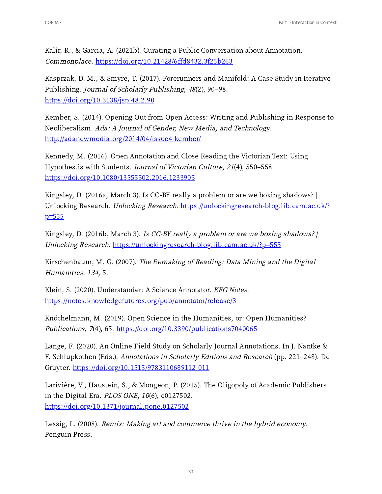Kalir, R., & Garcia, A. (2021b). Curating a Public Conversation about Annotation. Commonplace. https://doi.org/10.21428/6ffd8432.3f25b263

Kasprzak, D. M., & Smyre, T. (2017). Forerunners and Manifold: A Case Study in Iterative Publishing. Journal of Scholarly Publishing, 48(2), 90-98.  $https://doi.org/10.3138/jsp.48.2.90$ 

Kember, S. (2014). Opening Out from Open Access: Writing and Publishing in Response to Neoliberalism. Ada: <sup>A</sup> Journal of Gender, New Media, and Technology. http://adanewmedia.org/2014/04/issue4-kember/

Kennedy, M. (2016). Open Annotation and Close Reading the Victorian Text: Using Hypothes.is with Students. Journal of Victorian Culture, 21(4), 550-558. https://doi.org/10.1080/13555502.2016.1233905

Kingsley, D. (2016a, March 3). Is CC-BY really a problem or are we boxing shadows?  $|$ Unlocking Research. Unlocking Research. [https://unlockingresearch-blog.lib.cam.ac.uk/?](https://unlockingresearch-blog.lib.cam.ac.uk/?p=555)  $p=555$ 

Kingsley, D. (2016b, March 3). Is CC-BY really a problem or are we boxing shadows?  $|$ Unlocking Research. [https://unlockingresearch-blog.lib.cam.ac.uk/?p=](https://unlockingresearch-blog.lib.cam.ac.uk/?p=555)555

Kirschenbaum, M. G. (2007). The Remaking of Reading: Data Mining and the Digital Humanities. 134, 5.

Klein, S. (2020). Understander: A Science Annotator. KFG Notes. [https://notes.knowledgefutures.org/pub/annotator/release/](https://notes.knowledgefutures.org/pub/annotator/release/3)

Knöchelmann, M. (2019). Open Science in the Humanities, or: Open Humanities? Publications,  $7(4)$ , 65. https://doi.org/10.3390/publications7040065

Lange, F. (2020). An Online Field Study on Scholarly Journal Annotations. In J. Nantke & F. Schlupkothen (Eds.), Annotations in Scholarly Editions and Research (pp. 221–248). De Gruyter. https://doi.org/10.1515/9783110689112-011

Larivière, V., Haustein, S., & Mongeon, P. (2015). The Oligopoly of Academic Publishers in the Digital Era.  $PLOS$  ONE,  $10(6)$ , e0127502. https://doi.org/10.1371/journal.pone.0127502

Lessig, L. (2008). Remix: Making art and commerce thrive in the hybrid economy. Penguin Press.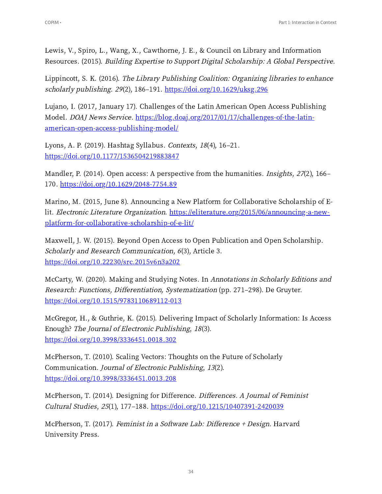Lewis, V., Spiro, L., Wang, X., Cawthorne, J. E., & Council on Library and Information Resources. (2015). Building Expertise to Support Digital Scholarship: A Global Perspective.

Lippincott, S. K. (2016). The Library Publishing Coalition: Organizing libraries to enhance scholarly publishing. 29(2), 186-191. https://doi.org/10.1629/uksg.296

Lujano, I. (2017, January 17). Challenges of the Latin American Open Access Publishing Model. DOAJ News Service. https://blog.doaj.org/2017/01/17/challenges-of-the-latinamerican-open-access-publishing-model/

Lyons, A. P. (2019). Hashtag Syllabus. Contexts, 18(4), 16-21. https://doi.org/10.1177/1536504219883847

Mandler, P. (2014). Open access: A perspective from the humanities. *Insights*, 27(2), 166– 170. https://doi.org/10.1629/2048-7754.89

Marino, M. (2015, June 8). Announcing a New Platform for Collaborative Scholarship of Elit. Electronic Literature Organization. https://eliterature.org/2015/06/announcing-a-newplatform-for-collaborative-scholarship-of-e-lit/

Maxwell, J. W. (2015). Beyond Open Access to Open Publication and Open Scholarship. Scholarly and Research Communication, 6(3), Article 3. https://doi.org/10.22230/src.2015v6n3a202

McCarty, W. (2020). Making and Studying Notes. In Annotations in Scholarly Editions and Research: Functions, Differentiation, Systematization (pp. 271-298). De Gruyter. https://doi.org/10.1515/9783110689112-013

McGregor, H., & Guthrie, K. (2015). Delivering Impact of Scholarly Information: Is Access Enough? The Journal of Electronic Publishing, <sup>18</sup>(3). https://doi.org/10.3998/3336451.0018.302

McPherson, T. (2010). Scaling Vectors: Thoughts on the Future of Scholarly Communication. Journal of Electronic Publishing, <sup>13</sup>(2). https://doi.org/10.3998/3336451.0013.208

McPherson, T. (2014). Designing for Difference. Differences. A Journal of Feminist Cultural Studies, 25(1), 177-188. https://doi.org/10.1215/10407391-2420039

McPherson, T. (2017). Feminist in a Software Lab: Difference + Design. Harvard University Press.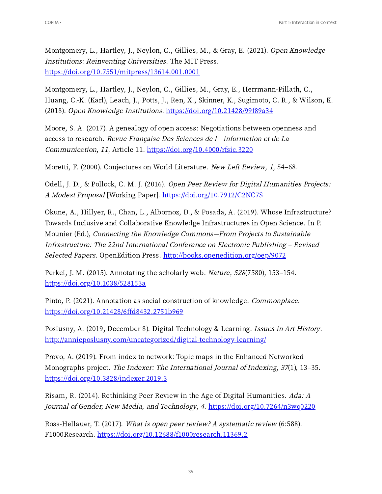Montgomery, L., Hartley, J., Neylon, C., Gillies, M., & Gray, E. (2021). Open Knowledge Institutions: Reinventing Universities. The MIT Press. https://doi.org/10.7551/mitpress/13614.001.0001

Montgomery, L., Hartley, J., Neylon, C., Gillies, M., Gray, E., Herrmann-Pillath, C., Huang, C.-K. (Karl), Leach, J., Potts, J., Ren, X., Skinner, K., Sugimoto, C. R., & Wilson, K. (2018). Open Knowledge Institutions. https://doi.org/10.21428/99f89a34

Moore, S. A. (2017). A genealogy of open access: Negotiations between openness and access to research. Revue Française Des Sciences de l'information et de La Communication, 11, Article 11. https://doi.org/10.4000/rfsic.3220

Moretti, F. (2000). Conjectures on World Literature. New Left Review, 1, 54-68.

Odell, J. D., & Pollock, C. M. J. (2016). Open Peer Review for Digital Humanities Projects: A Modest Proposal [Working Paper]. https://doi.org/10.7912/C2NC7S

Okune, A., Hillyer, R., Chan, L., Albornoz, D., & Posada, A. (2019). Whose Infrastructure? Towards Inclusive and Collaborative Knowledge Infrastructures in Open Science. In P. Mounier (Ed.), Connecting the Knowledge Commons—From Projects to Sustainable Infrastructure: The 22nd International Conference on Electronic Publishing – Revised Selected Papers. OpenEdition Press. [http://books.openedition.org/oep/](http://books.openedition.org/oep/9072)9072

Perkel, J. M. (2015). Annotating the scholarly web. *Nature*,  $528(7580)$ , 153–154. https://doi.org/10.1038/528153a

Pinto, P. (2021). Annotation as social construction of knowledge. *Commonplace*. https://doi.org/10.21428/6ffd8432.2751b969

Poslusny, A. (2019, December 8). Digital Technology & Learning. Issues in Art History. <http://annieposlusny.com/uncategorized/digital-technology-learning/>

Provo, A. (2019). From index to network: Topic maps in the Enhanced Networked Monographs project. The Indexer: The International Journal of Indexing, 37(1), 13-35. https://doi.org/10.3828/indexer.2019.3

Risam, R. (2014). Rethinking Peer Review in the Age of Digital Humanities. Ada: A Journal of Gender, New Media, and Technology, 4. https://doi.org/10.7264/n3wq0220

Ross-Hellauer, T. (2017). What is open peer review? A systematic review (6:588). F1000Research. https://doi.org/10.12688/f1000research.11369.2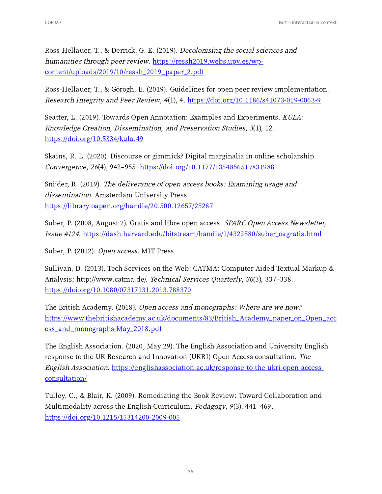Ross-Hellauer, T., & Derrick, G. E. (2019). Decolonising the social sciences and humanities through peer review. https://ressh2019.webs.upv.es/wpcontent/uploads/2019/10/ressh\_2019\_paper\_2.pdf

Ross-Hellauer, T., & Görögh, E. (2019). Guidelines for open peer review implementation. Research Integrity and Peer Review, 4(1), 4. https://doi.org/10.1186/s41073-019-0063-9

Seatter, L. (2019). Towards Open Annotation: Examples and Experiments. KULA: Knowledge Creation, Dissemination, and Preservation Studies, <sup>3</sup>(1), 12.  $\frac{https://doi.org/10.5334/kula.49}{https://doi.org/10.5334/kula.49}$ 

Skains, R. L. (2020). Discourse or gimmick? Digital marginalia in online scholarship. Convergence, 26(4), 942-955. https://doi.org/10.1177/1354856519831988

Snijder, R. (2019). The deliverance of open access books: Examining usage and dissemination. Amsterdam University Press. https://library.oapen.org/handle/20.500.12657/25287

Suber, P. (2008, August 2). Gratis and libre open access. SPARC Open Access Newsletter, Issue #124. https://dash.harvard.edu/bitstream/handle/1/4322580/suber\_oagratis.html

Suber, P. (2012). Open access. MIT Press.

Sullivan, D. (2013). Tech Services on the Web: CATMA: Computer Aided Textual Markup & Analysis; http://www.catma.de/. Technical Services Quarterly, 30(3), 337-338. https://doi.org/10.1080/07317131.2013.788370

The British Academy. (2018). Open access and monographs: Where are we now? https://www.thebritishacademy.ac.uk/documents/83/British\_Academy\_paper\_on\_Open\_acc ess\_and\_monographs-May\_2018.pdf

The English Association. (2020, May 29). The English Association and University English response to the UK Research and Innovation (UKRI) Open Access consultation. The English Association. [https://englishassociation.ac.uk/response-to-the-ukri-open-access](https://englishassociation.ac.uk/response-to-the-ukri-open-access-consultation/)consultation/

Tulley, C., & Blair, K. (2009). Remediating the Book Review: Toward Collaboration and Multimodality across the English Curriculum. *Pedagogy*,  $9(3)$ , 441–469. https://doi.org/10.1215/15314200-2009-005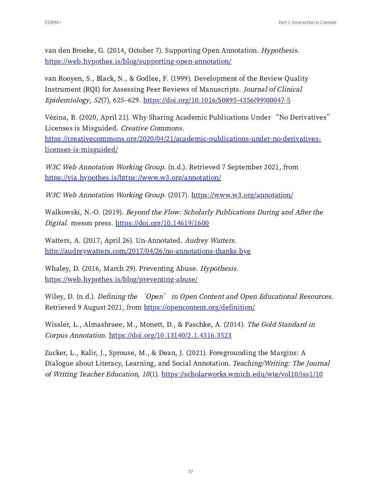van den Broeke, G. (2014, October 7). Supporting Open Annotation. Hypothesis. <https://web.hypothes.is/blog/supporting-open-annotation/>

van Rooyen, S., Black, N., & Godlee, F. (1999). Development of the Review Quality Instrument (RQI) for Assessing Peer Reviews of Manuscripts. Journal of Clinical  $Epidemiology, 52(7), 625-629. [https://doi.org/10.1016/S0895-4356\(99\)00047-5](https://doi.org/10.1016/S0895-4356(99)00047-5)$ 

Vézina, B. (2020, April 21). Why Sharing Academic Publications Under "No Derivatives" Licenses is Misguided. Creative Commons.

https://creativecommons.org/2020/04/21/academic-publications-under-no-derivativeslicenses-is-misguided/

W3C Web Annotation Working Group. (n.d.). Retrieved 7 September 2021, from https://via.hypothes.is/https://www.w3.org/annotation/

W3C Web Annotation Working Group. (2017). https://www.w3.org/annotation/

Walkowski, N.-O. (2019). Beyond the Flow: Scholarly Publications During and After the Digital. meson press. https://doi.org/10.14619/1600

Watters, A. (2017, April 26). Un-Annotated. Audrey Watters. http://audreywatters.com/2017/04/26/no-annotations-thanks-bye

Whaley, D. (2016, March 29). Preventing Abuse. Hypothesis. <https://web.hypothes.is/blog/preventing-abuse/>

Wiley, D. (n.d.). *Defining the 'Open' in Open Content and Open Educational Resources.* Retrieved 9 August 2021, from <https://opencontent.org/definition/>

Wissler, L., Almashraee, M., Monett, D., & Paschke, A. (2014). The Gold Standard in Corpus Annotation. https://doi.org/10.13140/2.1.4316.3523

Zucker, L., Kalir, J., Sprouse, M., & Dean, J. (2021). Foregrounding the Margins: A Dialogue about Literacy, Learning, and Social Annotation. Teaching/Writing: The Journal of Writing Teacher Education, 10(1). https://scholarworks.wmich.edu/wte/vol10/iss1/10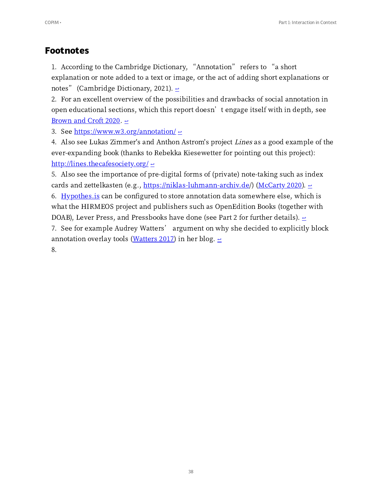### **Footnotes**

<span id="page-37-0"></span>1. According to the Cambridge Dictionary, "Annotation" refers to "a short explanation or note added to a text or image, or the act of adding short explanations or notes" (Cambridge Dictionary, 2021).  $\leq$ 

<span id="page-37-1"></span>2. For an excellent overview of the possibilities and drawbacks of social annotation in open educational sections, which this report doesn't engage itself with in depth, see [Brown](http://doi.org/10.5334/jime.561) and Croft 2020.  $\div$ 

<span id="page-37-2"></span>3. See  $\frac{https://www.w3.org/annotation/\leftarrow}{}$ 

<span id="page-37-3"></span>4. Also see Lukas Zimmer's and Anthon Astrom's project Lines as a good example of the ever-expanding book (thanks to Rebekka Kiesewetter for pointing out this project): <http://lines.thecafesociety.org/>  $\leq$ 

<span id="page-37-4"></span>5. Also see the importance of pre-digital forms of (private) note-taking such as index cards and zettelkasten (e.g., [https://niklas-luhmann-archiv.de](https://niklas-luhmann-archiv.de/)/) [\(McCarty](https://doi.org/10.1515/9783110689112-013) 2020).  $\epsilon$ 

<span id="page-37-5"></span>6. Hypothes. is can be configured to store annotation data somewhere else, which is what the HIRMEOS project and publishers such as OpenEdition Books (together with DOAB), Lever Press, and Pressbooks have done (see Part 2 for further details).  $\geq$ 

<span id="page-37-6"></span>7. See for example Audrey Watters' argument on why she decided to explicitly block annotation overlay tools [\(Watters](http://audreywatters.com/2017/04/26/no-annotations-thanks-bye) 2017) in her blog.  $\epsilon$ 

<span id="page-37-7"></span>8.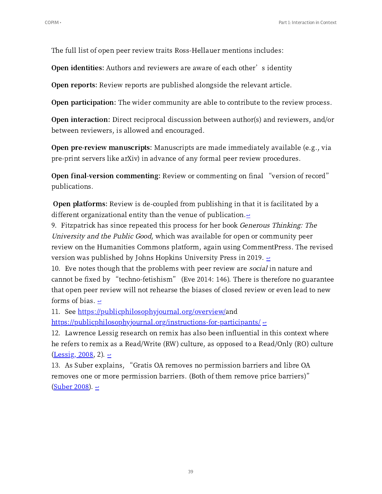The full list of open peer review traits Ross-Hellauer mentions includes:

**Open identities:** Authors and reviewers are aware of each other's identity

Open reports: Review reports are published alongside the relevant article.

Open participation: The wider community are able to contribute to the review process.

Open interaction: Direct reciprocal discussion between author(s) and reviewers, and/or between reviewers, is allowed and encouraged.

Open pre-review manuscripts: Manuscripts are made immediately available (e.g., via pre-print servers like arXiv) in advance of any formal peer review procedures.

Open final-version commenting: Review or commenting on final "version of record" publications.

Open platforms: Review is de-coupled from publishing in that it is facilitated by a different organizational entity than the venue of publication. $\epsilon$ 

<span id="page-38-0"></span>9. Fitzpatrick has since repeated this process for her book Generous Thinking: The University and the Public Good, which was available for open or community peer review on the Humanities Commons platform, again using CommentPress. The revised version was published by Johns Hopkins University Press in 2019.  $\geq$ 

<span id="page-38-1"></span>10. Eve notes though that the problems with peer review are *social* in nature and cannot be fixed by "techno-fetishism" (Eve 2014: 146). There is therefore no guarantee that open peer review will not rehearse the biases of closed review or even lead to new forms of bias.  $\leq$ 

<span id="page-38-2"></span>11. See <https://publicphilosophyjournal.org/overview/>and

 $\frac{https://publicphilosophyjournal.org/instructions-for-particle)$ 

<span id="page-38-3"></span>12. Lawrence Lessig research on remix has also been influential in this context where he refers to remix as a Read/Write (RW) culture, as opposed to a Read/Only (RO) culture  $(\underline{Lessig}, 2008, 2). \underline{\in}$ 

<span id="page-38-4"></span>13. As Suber explains, "Gratis OA removes no permission barriers and libre OA removes one or more permission barriers. (Both of them remove price barriers)"  $(Suber 2008).$  $(Suber 2008).$   $\rightleftharpoons$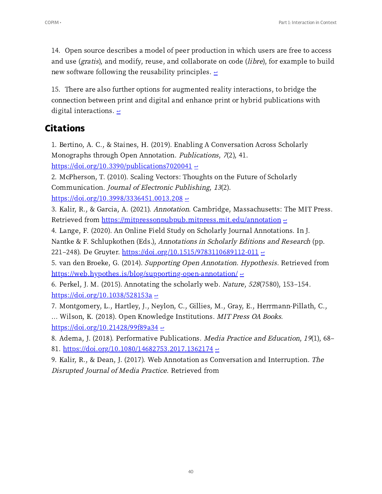<span id="page-39-7"></span>14. Open source describes a model of peer production in which users are free to access and use (gratis), and modify, reuse, and collaborate on code (libre), for example to build new software following the reusability principles.  $\epsilon$ 

<span id="page-39-8"></span>15. There are also further options for augmented reality interactions, to bridge the connection between print and digital and enhance print or hybrid publications with digital interactions.  $\epsilon$ 

## **Citations**

<span id="page-39-0"></span>1. Bertino, A. C., & Staines, H. (2019). Enabling A Conversation Across Scholarly Monographs through Open Annotation. *Publications*, 7(2), 41.  $\frac{\text{https://doi.org/10.3390/publications7020041}}{$ 

2. McPherson, T. (2010). Scaling Vectors: Thoughts on the Future of Scholarly Communication. Journal of Electronic Publishing, <sup>13</sup>(2). [https://doi.org/./..](https://doi.org/10.3998/3336451.0013.208) ↩

3. Kalir, R., & Garcia, A. (2021). Annotation. Cambridge, Massachusetts: The MIT Press. Retrieved from <https://mitpressonpubpub.mitpress.mit.edu/annotation> e

<span id="page-39-1"></span>4. Lange, F. (2020). An Online Field Study on Scholarly Journal Annotations. In J. Nantke & F. Schlupkothen (Eds.), Annotations in Scholarly Editions and Research (pp. 221-248). De Gruyter. https://doi.org/10.1515/9783110689112-011  $\leq$ 

<span id="page-39-2"></span>5. van den Broeke, G. (2014). Supporting Open Annotation. Hypothesis. Retrieved from <u><https://web.hypothes.is/blog/supporting-open-annotation/>  $\leq$ </u>

<span id="page-39-3"></span>6. Perkel, J. M. (2015). Annotating the scholarly web. Nature, 528(7580), 153-154. https://doi.org/10.1038/528153a  $\leftrightarrow$ 

<span id="page-39-4"></span>7. Montgomery, L., Hartley, J., Neylon, C., Gillies, M., Gray, E., Herrmann-Pillath, C., ... Wilson, K. (2018). Open Knowledge Institutions. MIT Press OA Books.  $\frac{\text{https://doi.org/10.21428/99f89a34}}{10}$ 

<span id="page-39-5"></span>8. Adema, J. (2018). Performative Publications. *Media Practice and Education*, 19(1), 68– 81. https://doi.org/10.1080/14682753.2017.1362174  $\leq$ 

<span id="page-39-6"></span>9. Kalir, R., & Dean, J. (2017). Web Annotation as Conversation and Interruption. The Disrupted Journal of Media Practice. Retrieved from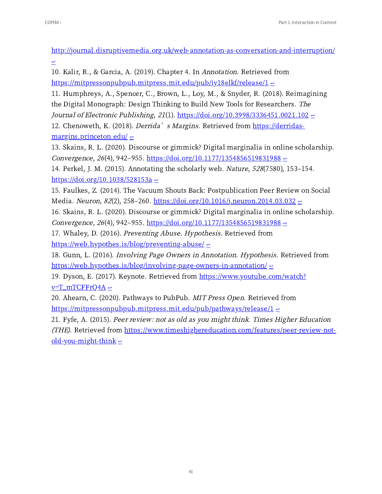<http://journal.disruptivemedia.org.uk/web-annotation-as-conversation-and-interruption/>  $\triangleq$ 

<span id="page-40-0"></span>10. Kalir, R., & Garcia, A. (2019). Chapter 4. In Annotation. Retrieved from  $\frac{https://mitpressionpubpub.mitpress.mit.edu/pub/iy18elkf/release/1 \rightarrow}{}$ 

<span id="page-40-1"></span>11. Humphreys, A., Spencer, C., Brown, L., Loy, M., & Snyder, R. (2018). Reimagining the Digital Monograph: Design Thinking to Build New Tools for Researchers. The Journal of Electronic Publishing, 21(1).  $\frac{https://doi.org/10.3998/3336451.0021.102}{?}$ 12. Chenoweth, K. (2018). *Derrida's Margins*. Retrieved from https://derridas $margins.princeton.edu / e$ 

<span id="page-40-3"></span><span id="page-40-2"></span>13. Skains, R. L. (2020). Discourse or gimmick? Digital marginalia in online scholarship. Convergence, 26(4), 942-955. https://doi.org/10.1177/1354856519831988  $\pm$ 

14. Perkel, J. M. (2015). Annotating the scholarly web. Nature, 528(7580), 153-154. https://doi.org/10.1038/528153a  $\leftrightarrow$ 

15. Faulkes, Z. (2014). The Vacuum Shouts Back: Postpublication Peer Review on Social Media. Neuron, 82(2), 258–260. https://doi.org/10.1016/j.neuron.2014.03.032  $\leq$ 

<span id="page-40-4"></span>16. Skains, R. L. (2020). Discourse or gimmick? Digital marginalia in online scholarship. Convergence, 26(4), 942-955. https://doi.org/10.1177/1354856519831988  $\pm$ 

<span id="page-40-5"></span>17. Whaley, D. (2016). Preventing Abuse. Hypothesis. Retrieved from  $https://web.hypothes.is/blog/preventing-abuse/  $\in$$  $https://web.hypothes.is/blog/preventing-abuse/  $\in$$  $https://web.hypothes.is/blog/preventing-abuse/  $\in$$ </u>

<span id="page-40-6"></span>18. Gunn, L. (2016). Involving Page Owners in Annotation. Hypothesis. Retrieved from <https://web.hypothes.is/blog/involving-page-owners-in-annotation/>  $\leq$ 

<span id="page-40-7"></span>19. Dyson, E. (2017). Keynote. Retrieved from [https://www.youtube.com/watch?](https://www.youtube.com/watch?v=T_mTCFFrQ4A)  $v=T_mTCFFrQ4A \approx$ 

<span id="page-40-8"></span>20. Ahearn, C. (2020). Pathways to PubPub. MIT Press Open. Retrieved from [https://mitpressonpubpub.mitpress.mit.edu/pub/pathways/release/](https://mitpressonpubpub.mitpress.mit.edu/pub/pathways/release/1)1  $\leq$ 

<span id="page-40-9"></span>21. Fyfe, A. (2015). Peer review: not as old as you might think. Times Higher Education (THE). Retrieved from [https://www.timeshighereducation.com/features/peer-review-not-](https://www.timeshighereducation.com/features/peer-review-not-old-you-might-think)<u>old-you-might-think  $\epsilon$ </u>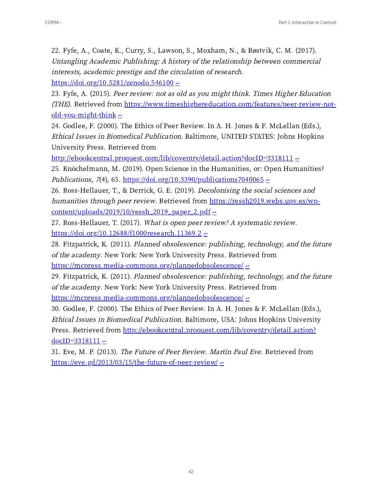22. Fyfe, A., Coate, K., Curry, S., Lawson, S., Moxham, N., & Røstvik, C. M. (2017). Untangling Academic Publishing: <sup>A</sup> history of the relationship between commercial interests, academic prestige and the circulation of research.  $\frac{\text{https://doi.org/10.5281/zenodo.546100} \div \cdots}{\text{https://doi.org/10.5281/zenodo.546100}}$ 

23. Fyfe, A. (2015). Peer review: not as old as you might think. Times Higher Education (THE). Retrieved from [https://www.timeshighereducation.com/features/peer-review-not-](https://www.timeshighereducation.com/features/peer-review-not-old-you-might-think)<u>old-you-might-think  $\epsilon$ </u>

<span id="page-41-0"></span>24. Godlee, F. (2000). The Ethics of Peer Review. In A. H. Jones & F. McLellan (Eds.), Ethical Issues in Biomedical Publication. Baltimore, UNITED STATES: Johns Hopkins University Press. Retrieved from

[http://ebookcentral.proquest.com/lib/coventry/detail.action?docID=](http://ebookcentral.proquest.com/lib/coventry/detail.action?docID=3318111)3318111  $\leftrightarrow$ 

<span id="page-41-1"></span>25. Knöchelmann, M. (2019). Open Science in the Humanities, or: Open Humanities? Publications, 7(4), 65. https://doi.org/10.3390/publications7040065  $\triangle$ 

<span id="page-41-2"></span>26. Ross-Hellauer, T., & Derrick, G. E. (2019). *Decolonising the social sciences and* humanities through peer review. Retrieved from https://ressh2019.webs.upv.es/wp- $content-uploads/2019/10/ressh_2019$  paper 2.pdf  $\approx$ </u>

<span id="page-41-3"></span>27. Ross-Hellauer, T. (2017). What is open peer review? A systematic review.  $\frac{\text{https://doi.org/10.12688/f1000research.11369.2}}{$ 

<span id="page-41-4"></span>28. Fitzpatrick, K. (2011). Planned obsolescence: publishing, technology, and the future of the academy. New York: New York University Press. Retrieved from

<https://mcpress.media-commons.org/plannedobsolescence/>  $\epsilon$ 

<span id="page-41-5"></span>29. Fitzpatrick, K. (2011). Planned obsolescence: publishing, technology, and the future of the academy. New York: New York University Press. Retrieved from

<https://mcpress.media-commons.org/plannedobsolescence/>  $\epsilon$ 

<span id="page-41-6"></span>30. Godlee, F. (2000). The Ethics of Peer Review. In A. H. Jones & F. McLellan (Eds.), Ethical Issues in Biomedical Publication. Baltimore, USA: Johns Hopkins University Press. Retrieved from [http://ebookcentral.proquest.com/lib/coventry/detail.action?](http://ebookcentral.proquest.com/lib/coventry/detail.action?docID=3318111) docID= $3318111 \div$ 

<span id="page-41-7"></span>31. Eve, M. P. (2013). The Future of Peer Review. Martin Paul Eve. Retrieved from https://eve.gd/2013/03/15/the-future-of-peer-review/  $\leq$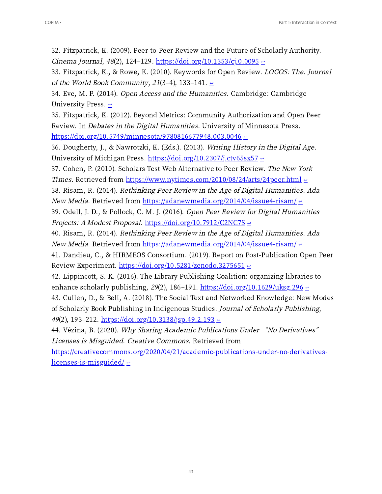32. Fitzpatrick, K. (2009). Peer-to-Peer Review and the Future of Scholarly Authority. Cinema Journal,  $48(2)$ , 124-129. https://doi.org/10.1353/cj.0.0095  $\approx$ 

<span id="page-42-0"></span>33. Fitzpatrick, K., & Rowe, K. (2010). Keywords for Open Review. LOGOS: The. Journal of the World Book Community, 21(3-4), 133-141.  $\epsilon$ 

<span id="page-42-1"></span>34. Eve, M. P. (2014). Open Access and the Humanities. Cambridge: Cambridge University Press.  $\epsilon$ 

<span id="page-42-2"></span>35. Fitzpatrick, K. (2012). Beyond Metrics: Community Authorization and Open Peer Review. In Debates in the Digital Humanities. University of Minnesota Press.  $\frac{\text{https://doi.org/10.5749/minnesota/9780816677948.003.0046}}{2}$ 

<span id="page-42-3"></span>36. Dougherty, J., & Nawrotzki, K. (Eds.). (2013). Writing History in the Digital Age. University of Michigan Press. https://doi.org/10.2307/j.ctv65sx57  $\leq$ 

<span id="page-42-4"></span>37. Cohen, P. (2010). Scholars Test Web Alternative to Peer Review. The New York Times. Retrieved from https://www.nytimes.com/2010/08/24/arts/24peer.html  $\approx$ 

<span id="page-42-5"></span>38. Risam, R. (2014). Rethinking Peer Review in the Age of Digital Humanities. Ada *New Media.* Retrieved from https://adanewmedia.org/2014/04/issue4-risam/ $\leq$ 

<span id="page-42-6"></span>39. Odell, J. D., & Pollock, C. M. J. (2016). Open Peer Review for Digital Humanities Projects: A Modest Proposal. https://doi.org/10.7912/C2NC7S  $\approx$ 

<span id="page-42-7"></span>40. Risam, R. (2014). Rethinking Peer Review in the Age of Digital Humanities. Ada *New Media.* Retrieved from https://adanewmedia.org/2014/04/issue4-risam/ $\leq$ 

41. Dandieu, C., & HIRMEOS Consortium. (2019). Report on Post-Publication Open Peer Review Experiment.  $\frac{https://doi.org/10.5281/zenodo.3275651}{https://doi.org/10.5281/zenodo.3275651}$ 

<span id="page-42-8"></span>42. Lippincott, S. K. (2016). The Library Publishing Coalition: organizing libraries to enhance scholarly publishing, 29(2), 186–191. https://doi.org/ $10.1629$ /uksg.  $296 \div$ 

<span id="page-42-9"></span>43. Cullen, D., & Bell, A. (2018). The Social Text and Networked Knowledge: New Modes of Scholarly Book Publishing in Indigenous Studies. Journal of Scholarly Publishing, 49(2), 193–212. https://doi.org/10.3138/jsp.49.2.193  $\leftrightarrow$ 

```
44. Vézina, B. (2020). Why Sharing Academic Publications Under "No Derivatives"
Licenses is Misguided. Creative Commons. Retrieved from
```
https://creativecommons.org/2020/04/21/academic-publications-under-no-derivativeslicenses-is-misguided/ $\epsilon$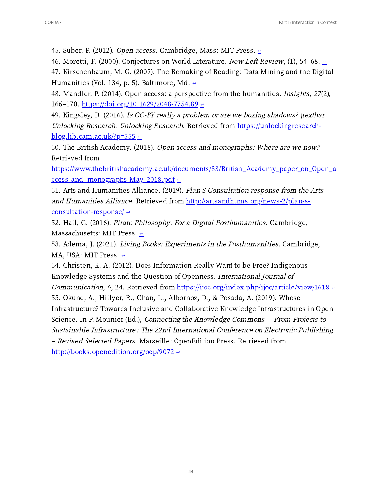<span id="page-43-0"></span>45. Suber, P. (2012). Open access. Cambridge, Mass: MIT Press.  $\epsilon$ 

<span id="page-43-1"></span>46. Moretti, F. (2000). Conjectures on World Literature. New Left Review, (1), 54–68.  $\epsilon$ 

<span id="page-43-2"></span>47. Kirschenbaum, M. G. (2007). The Remaking of Reading: Data Mining and the Digital Humanities (Vol. 134, p. 5). Baltimore, Md.  $\geq$ 

<span id="page-43-3"></span>48. Mandler, P. (2014). Open access: a perspective from the humanities. *Insights*,  $27(2)$ , 166–170. https://doi.org/10.1629/2048-7754.89  $\leq$ 

<span id="page-43-4"></span>49. Kingsley, D. (2016). Is CC-BY really a problem or are we boxing shadows?  $\text{text}$ Unlocking Research. Unlocking Research. Retrieved from [https://unlockingresearch-](https://unlockingresearch-blog.lib.cam.ac.uk/?p=555) $\underline{blog.lib.cam.ac.uk/?p=555}$ 

<span id="page-43-5"></span>50. The British Academy. (2018). Open access and monographs: Where are we now? Retrieved from

[https://www.thebritishacademy.ac.uk/documents//British\\_Academy\\_paper\\_on\\_Open\\_a](https://www.thebritishacademy.ac.uk/documents/83/British_Academy_paper_on_Open_access_and_monographs-May_2018.pdf) <u>ccess\_and\_monographs-May\_2018.pdf  $\div$ </u>

<span id="page-43-6"></span>51. Arts and Humanities Alliance. (2019). Plan S Consultation response from the Arts and Humanities Alliance. Retrieved from http://artsandhums.org/news-2/plan-sconsultation-response/  $\leftrightarrow$ 

<span id="page-43-7"></span>52. Hall, G. (2016). Pirate Philosophy: For a Digital Posthumanities. Cambridge, Massachusetts: MIT Press.  $\epsilon$ 

<span id="page-43-8"></span>53. Adema, J. (2021). Living Books: Experiments in the Posthumanities. Cambridge, MA, USA: MIT Press.  $\leftrightarrow$ 

<span id="page-43-10"></span><span id="page-43-9"></span>54. Christen, K. A. (2012). Does Information Really Want to be Free? Indigenous Knowledge Systems and the Question of Openness. International Journal of *Communication, 6, 24.* Retrieved from [https://ijoc.org/index.php/ijoc/article/view/](https://ijoc.org/index.php/ijoc/article/view/1618)1618  $\approx$ 55. Okune, A., Hillyer, R., Chan, L., Albornoz, D., & Posada, A. (2019). Whose Infrastructure? Towards Inclusive and Collaborative Knowledge Infrastructures in Open Science. In P. Mounier (Ed.), *Connecting the Knowledge Commons - From Projects to* Sustainable Infrastructure: The 22nd International Conference on Electronic Publishing ‒ Revised Selected Papers. Marseille: OpenEdition Press. Retrieved from [http://books.openedition.org/oep/](http://books.openedition.org/oep/9072)9072  $\leftrightarrow$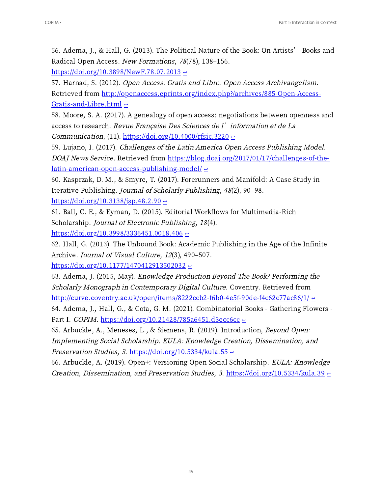<span id="page-44-0"></span>56. Adema, J., & Hall, G. (2013). The Political Nature of the Book: On Artists' Books and Radical Open Access. New Formations, 78(78), 138-156.

 $\frac{\text{https://doi.org/10.3898/NewF.78.07.2013}}{$ 

<span id="page-44-1"></span>57. Harnad, S. (2012). Open Access: Gratis and Libre. Open Access Archivangelism. Retrieved from http://openaccess.eprints.org/index.php?/archives/885-Open-Access-Gratis-and-Libre.html [↩](#page-18-2)

<span id="page-44-2"></span>58. Moore, S. A. (2017). A genealogy of open access: negotiations between openness and access to research. Revue Française Des Sciences de l'information et de La Communication, (11).  $\frac{https://doi.org/10.4000/rfsic.3220}{https://doi.org/10.4000/rfsic.3220}$ 

<span id="page-44-3"></span>59. Lujano, I. (2017). Challenges of the Latin America Open Access Publishing Model. DOAJ News Service. Retrieved from https://blog.doaj.org/2017/01/17/challenges-of-thelatin-american-open-access-publishing-model/ $\leftrightarrow$ 

<span id="page-44-4"></span>60. Kasprzak, D. M., & Smyre, T. (2017). Forerunners and Manifold: A Case Study in Iterative Publishing. Journal of Scholarly Publishing, 48(2), 90-98.  $\frac{\text{https://doi.org/10.3138/isp.48.2.90}}{=}$ 

<span id="page-44-5"></span>61. Ball, C. E., & Eyman, D. (2015). Editorial Workflows for Multimedia-Rich Scholarship. Journal of Electronic Publishing, <sup>18</sup>(4).  $\frac{\text{https://doi.org/10.3998/3336451.0018.406}}{2}$ 

<span id="page-44-6"></span>62. Hall, G. (2013). The Unbound Book: Academic Publishing in the Age of the Infinite Archive. Journal of Visual Culture, 12(3), 490-507.

 $\frac{\text{https://doi.org/10.1177/1470412913502032}}{$ 

<span id="page-44-7"></span>63. Adema, J. (2015, May). Knowledge Production Beyond The Book? Performing the Scholarly Monograph in Contemporary Digital Culture. Coventry. Retrieved from  $\frac{http://curve.coventry.ac.uk/open/items/8222ccb2-f6b0-4e5f-90de-f4c62c77ac86/1/ e}{http://curve.coventry.ac.uk/open/items/8222ccb2-f6b0-4e5f-90de-f4c62c77ac86/1/ e}$ 

<span id="page-44-8"></span>64. Adema, J., Hall, G., & Cota, G. M. (2021). Combinatorial Books - Gathering Flowers -Part I. COPIM. https://doi.org/10.21428/785a6451.d3ecc6cc  $\leftrightarrow$ 

<span id="page-44-9"></span>65. Arbuckle, A., Meneses, L., & Siemens, R. (2019). Introduction, Beyond Open: Implementing Social Scholarship. KULA: Knowledge Creation, Dissemination, and Preservation Studies, 3. https://doi.org/10.5334/kula.55  $\approx$ 

<span id="page-44-10"></span>66. Arbuckle, A. (2019). Open+: Versioning Open Social Scholarship. KULA: Knowledge Creation, Dissemination, and Preservation Studies, 3. https://doi.org/10.5334/kula.39  $\pm$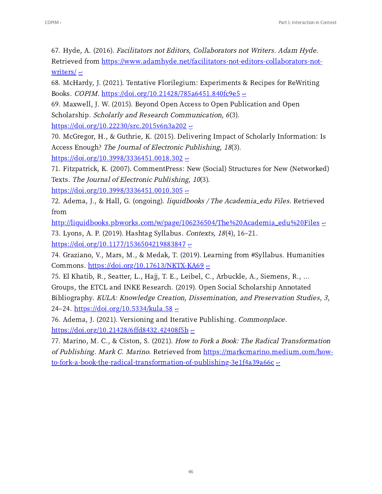<span id="page-45-0"></span>67. Hyde, A. (2016). Facilitators not Editors, Collaborators not Writers. Adam Hyde. Retrieved from [https://www.adamhyde.net/facilitators-not-editors-collaborators-not](https://www.adamhyde.net/facilitators-not-editors-collaborators-not-writers/)writers/ $\leftrightarrow$ 

<span id="page-45-1"></span>68. McHardy, J. (2021). Tentative Florilegium: Experiments & Recipes for ReWriting Books. COPIM. https://doi.org/10.21428/785a6451.840fc9e5  $\leftrightarrow$ 

<span id="page-45-2"></span>69. Maxwell, J. W. (2015). Beyond Open Access to Open Publication and Open Scholarship. Scholarly and Research Communication, 6(3).

 $\frac{\text{https://doi.org/10.22230/src.2015v6n3a202} \div \text{?}}{2}$ 

<span id="page-45-3"></span>70. McGregor, H., & Guthrie, K. (2015). Delivering Impact of Scholarly Information: Is Access Enough? The Journal of Electronic Publishing, <sup>18</sup>(3).

 $\frac{\text{https://doi.org/10.3998/3336451.0018.302}}{2}$ 

<span id="page-45-4"></span>71. Fitzpatrick, K. (2007). CommentPress: New (Social) Structures for New (Networked) Texts. The Journal of Electronic Publishing, <sup>10</sup>(3).

https://doi.org/10.3998/3336451.0010.305  $\leftrightarrow$ 

<span id="page-45-5"></span>72. Adema, J., & Hall, G. (ongoing). liquidbooks / The Academia\_edu Files. Retrieved from

<span id="page-45-6"></span>http://liquidbooks.pbworks.com/w/page/106236504/The%20Academia\_edu%20Files  $\epsilon$ 73. Lyons, A. P. (2019). Hashtag Syllabus. Contexts, 18(4), 16-21. https://doi.org/10.1177/1536504219883847  $\leftrightarrow$ 

<span id="page-45-7"></span>74. Graziano, V., Mars, M., & Medak, T. (2019). Learning from #Syllabus. Humanities Commons.  $\frac{https://doi.org/10.17613/NKTX-KA69}{e}$ 

<span id="page-45-8"></span>75. El Khatib, R., Seatter, L., Hajj, T. E., Leibel, C., Arbuckle, A., Siemens, R., Groups, the ETCL and INKE Research. (2019). Open Social Scholarship Annotated Bibliography. KULA: Knowledge Creation, Dissemination, and Preservation Studies, <sup>3</sup>, 24–24. https://doi.org/10.5334/kula.58  $\leq$ 

<span id="page-45-9"></span>76. Adema, J. (2021). Versioning and Iterative Publishing. Commonplace. https://doi.org/10.21428/6ffd8432.42408f5b  $\leftrightarrow$ 

<span id="page-45-10"></span>77. Marino, M. C., & Ciston, S. (2021). How to Fork a Book: The Radical Transformation of Publishing. Mark C. Marino. Retrieved from https://markcmarino.medium.com/how- $\frac{1}{\text{to-fork-a-book-the-radical-transformation-of-publishing-3e1f4a39a66c}}$